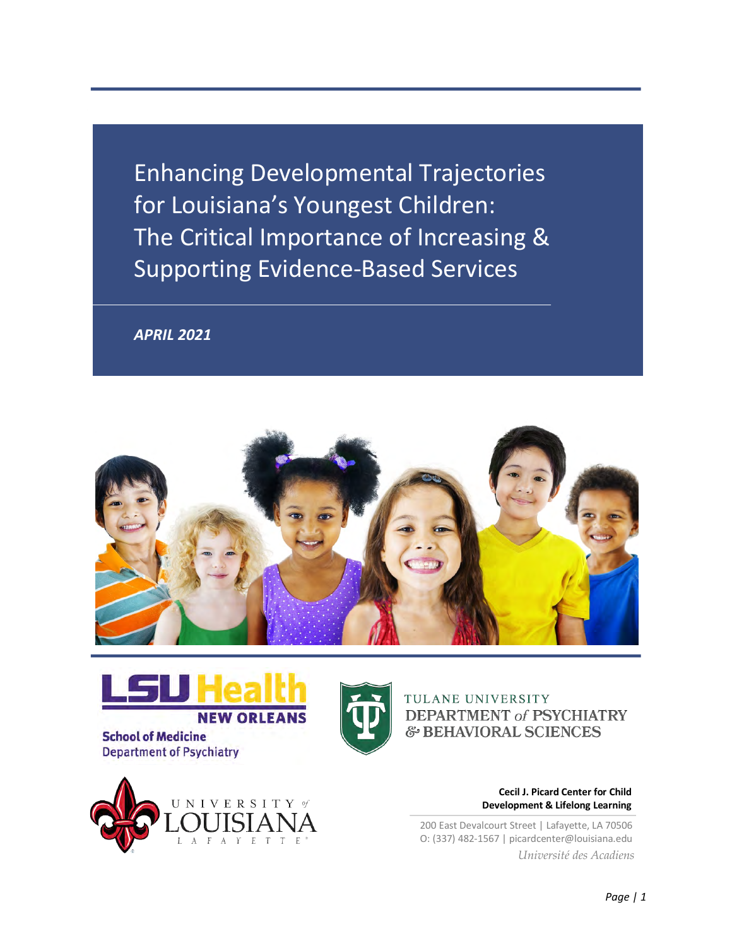Enhancing Developmental Trajectories for Louisiana's Youngest Children: The Critical Importance of Increasing & Supporting Evidence-Based Services

*APRIL 2021*





**School of Medicine Department of Psychiatry** 





TULANE UNIVERSITY **DEPARTMENT of PSYCHIATRY** & BEHAVIORAL SCIENCES

> **Cecil J. Picard Center for Child Development & Lifelong Learning**

200 East Devalcourt Street | Lafayette, LA 70506 O: (337) 482-1567 | picardcenter@louisiana.edu *Université des Acadiens*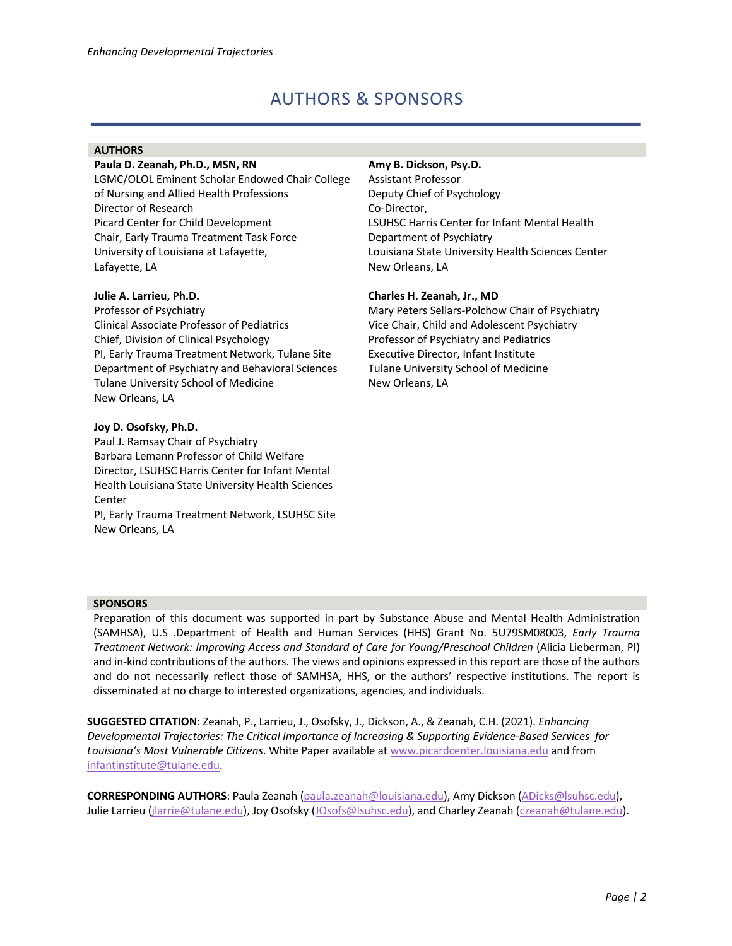# AUTHORS & SPONSORS

#### **AUTHORS**

#### **Paula D. Zeanah, Ph.D., MSN, RN**

LGMC/OLOL Eminent Scholar Endowed Chair College of Nursing and Allied Health Professions Director of Research Picard Center for Child Development Chair, Early Trauma Treatment Task Force University of Louisiana at Lafayette, Lafayette, LA

#### **Julie A. Larrieu, Ph.D.**

Professor of Psychiatry Clinical Associate Professor of Pediatrics Chief, Division of Clinical Psychology PI, Early Trauma Treatment Network, Tulane Site Department of Psychiatry and Behavioral Sciences Tulane University School of Medicine New Orleans, LA

#### **Joy D. Osofsky, Ph.D.**

Paul J. Ramsay Chair of Psychiatry Barbara Lemann Professor of Child Welfare Director, LSUHSC Harris Center for Infant Mental Health Louisiana State University Health Sciences **Center** 

PI, Early Trauma Treatment Network, LSUHSC Site New Orleans, LA

#### **Amy B. Dickson, Psy.D.**

Assistant Professor Deputy Chief of Psychology Co-Director, LSUHSC Harris Center for Infant Mental Health Department of Psychiatry Louisiana State University Health Sciences Center New Orleans, LA

#### **Charles H. Zeanah, Jr., MD**

Mary Peters Sellars-Polchow Chair of Psychiatry Vice Chair, Child and Adolescent Psychiatry Professor of Psychiatry and Pediatrics Executive Director, Infant Institute Tulane University School of Medicine New Orleans, LA

#### **SPONSORS**

Preparation of this document was supported in part by Substance Abuse and Mental Health Administration (SAMHSA), U.S .Department of Health and Human Services (HHS) Grant No. 5U79SM08003, *Early Trauma Treatment Network: Improving Access and Standard of Care for Young/Preschool Children (Alicia Lieberman, PI)* and in-kind contributions of the authors. The views and opinions expressed in this report are those of the authors and do not necessarily reflect those of SAMHSA, HHS, or the authors' respective institutions. The report is disseminated at no charge to interested organizations, agencies, and individuals.

**SUGGESTED CITATION**: Zeanah, P., Larrieu, J., Osofsky, J., Dickson, A., & Zeanah, C.H. (2021). *Enhancing Developmental Trajectories: The Critical Importance of Increasing & Supporting Evidence-Based Services for Louisiana's Most Vulnerable Citizens*. White Paper available at www.picardcenter.louisiana.edu and from infantinstitute@tulane.edu.

**CORRESPONDING AUTHORS**: Paula Zeanah (paula.zeanah@louisiana.edu), Amy Dickson (ADicks@lsuhsc.edu), Julie Larrieu (jlarrie@tulane.edu), Joy Osofsky (JOsofs@lsuhsc.edu), and Charley Zeanah (czeanah@tulane.edu).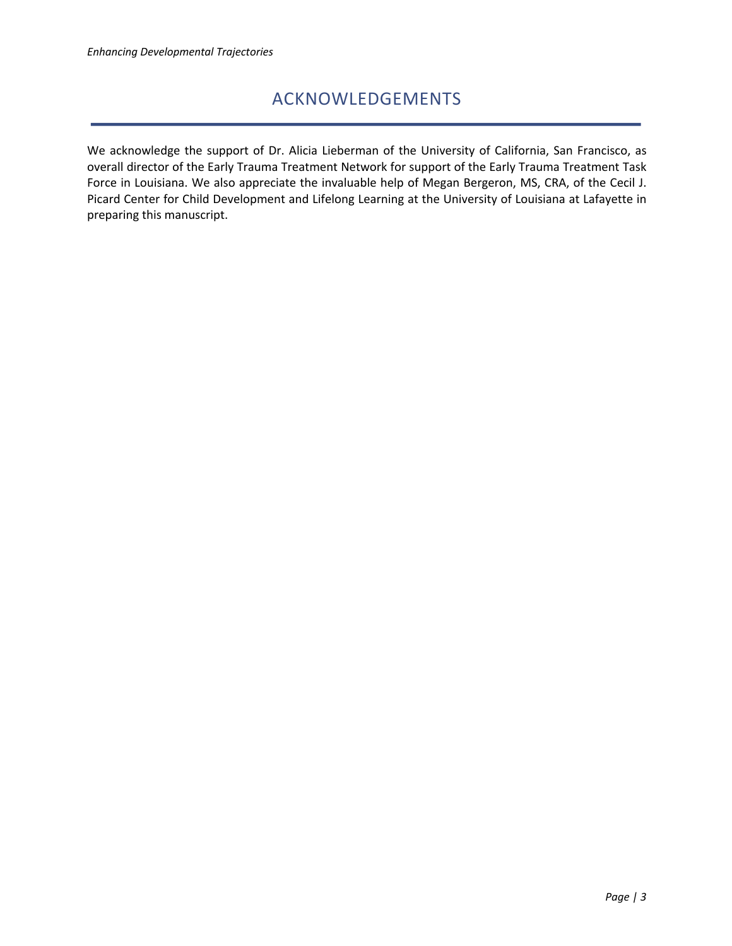# ACKNOWLEDGEMENTS

We acknowledge the support of Dr. Alicia Lieberman of the University of California, San Francisco, as overall director of the Early Trauma Treatment Network for support of the Early Trauma Treatment Task Force in Louisiana. We also appreciate the invaluable help of Megan Bergeron, MS, CRA, of the Cecil J. Picard Center for Child Development and Lifelong Learning at the University of Louisiana at Lafayette in preparing this manuscript.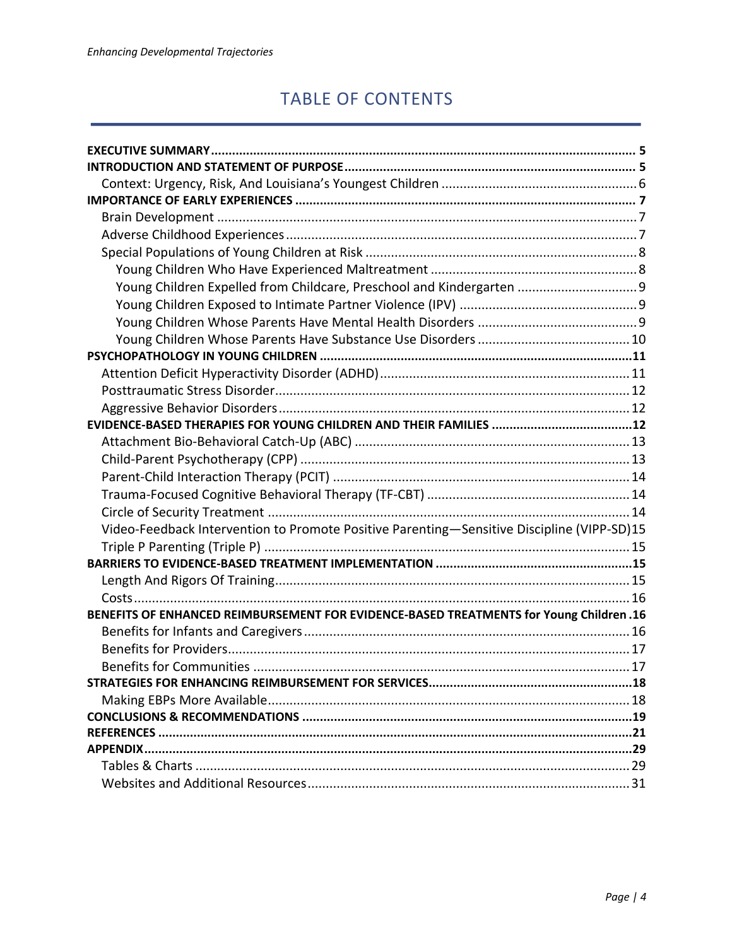# TABLE OF CONTENTS

| Young Children Expelled from Childcare, Preschool and Kindergarten  9                          |
|------------------------------------------------------------------------------------------------|
|                                                                                                |
|                                                                                                |
|                                                                                                |
|                                                                                                |
|                                                                                                |
|                                                                                                |
|                                                                                                |
|                                                                                                |
|                                                                                                |
|                                                                                                |
|                                                                                                |
|                                                                                                |
|                                                                                                |
| Video-Feedback Intervention to Promote Positive Parenting-Sensitive Discipline (VIPP-SD)15     |
|                                                                                                |
|                                                                                                |
|                                                                                                |
|                                                                                                |
| <b>BENEFITS OF ENHANCED REIMBURSEMENT FOR EVIDENCE-BASED TREATMENTS for Young Children .16</b> |
|                                                                                                |
|                                                                                                |
|                                                                                                |
|                                                                                                |
|                                                                                                |
|                                                                                                |
|                                                                                                |
| <b>APPENDIX</b>                                                                                |
|                                                                                                |
|                                                                                                |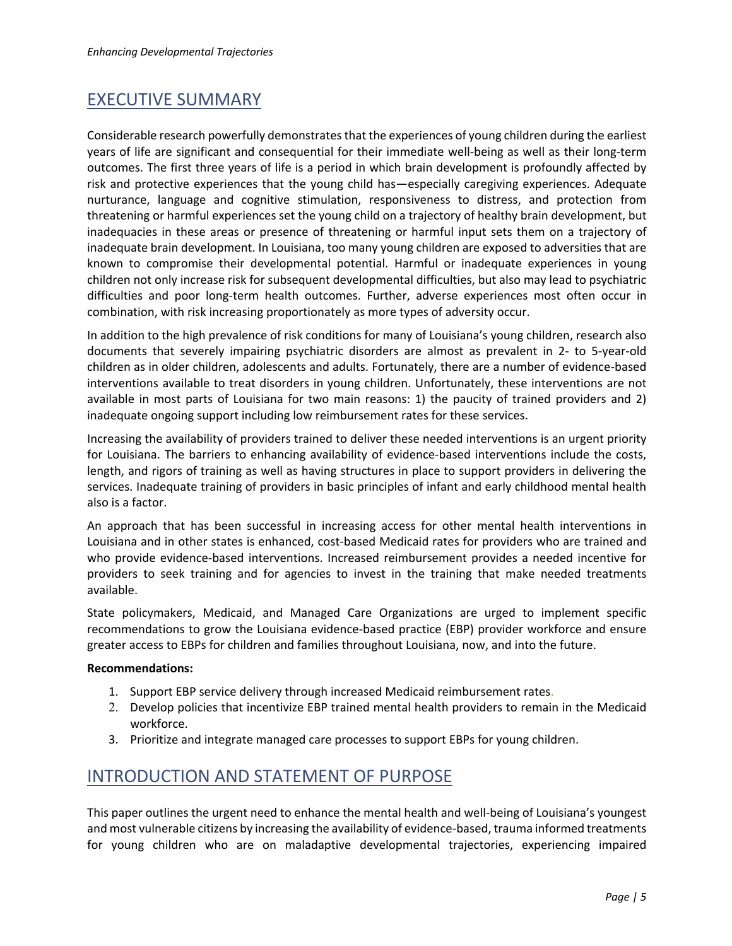# EXECUTIVE SUMMARY

Considerable research powerfully demonstratesthat the experiences of young children during the earliest years of life are significant and consequential for their immediate well-being as well as their long-term outcomes. The first three years of life is a period in which brain development is profoundly affected by risk and protective experiences that the young child has—especially caregiving experiences. Adequate nurturance, language and cognitive stimulation, responsiveness to distress, and protection from threatening or harmful experiences set the young child on a trajectory of healthy brain development, but inadequacies in these areas or presence of threatening or harmful input sets them on a trajectory of inadequate brain development. In Louisiana, too many young children are exposed to adversities that are known to compromise their developmental potential. Harmful or inadequate experiences in young children not only increase risk for subsequent developmental difficulties, but also may lead to psychiatric difficulties and poor long-term health outcomes. Further, adverse experiences most often occur in combination, with risk increasing proportionately as more types of adversity occur.

In addition to the high prevalence of risk conditions for many of Louisiana's young children, research also documents that severely impairing psychiatric disorders are almost as prevalent in 2- to 5-year-old children as in older children, adolescents and adults. Fortunately, there are a number of evidence-based interventions available to treat disorders in young children. Unfortunately, these interventions are not available in most parts of Louisiana for two main reasons: 1) the paucity of trained providers and 2) inadequate ongoing support including low reimbursement rates for these services.

Increasing the availability of providers trained to deliver these needed interventions is an urgent priority for Louisiana. The barriers to enhancing availability of evidence-based interventions include the costs, length, and rigors of training as well as having structures in place to support providers in delivering the services. Inadequate training of providers in basic principles of infant and early childhood mental health also is a factor.

An approach that has been successful in increasing access for other mental health interventions in Louisiana and in other states is enhanced, cost-based Medicaid rates for providers who are trained and who provide evidence-based interventions. Increased reimbursement provides a needed incentive for providers to seek training and for agencies to invest in the training that make needed treatments available.

State policymakers, Medicaid, and Managed Care Organizations are urged to implement specific recommendations to grow the Louisiana evidence-based practice (EBP) provider workforce and ensure greater access to EBPs for children and families throughout Louisiana, now, and into the future.

#### **Recommendations:**

- 1. Support EBP service delivery through increased Medicaid reimbursement rates.
- 2. Develop policies that incentivize EBP trained mental health providers to remain in the Medicaid workforce.
- 3. Prioritize and integrate managed care processes to support EBPs for young children.

# INTRODUCTION AND STATEMENT OF PURPOSE

This paper outlines the urgent need to enhance the mental health and well-being of Louisiana's youngest and most vulnerable citizens by increasing the availability of evidence-based, trauma informed treatments for young children who are on maladaptive developmental trajectories, experiencing impaired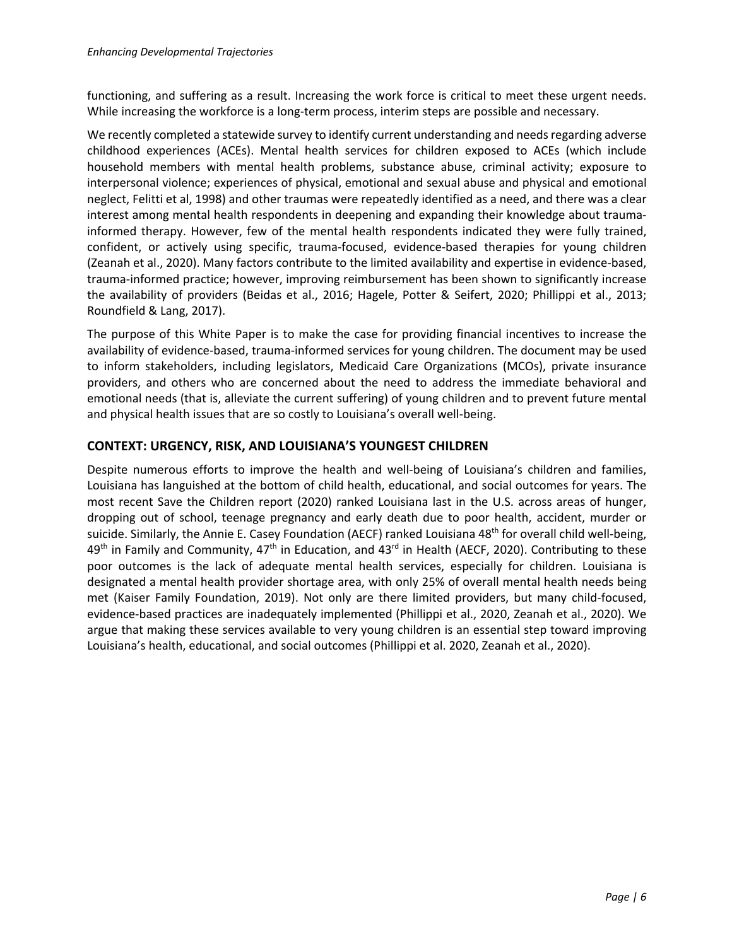functioning, and suffering as a result. Increasing the work force is critical to meet these urgent needs. While increasing the workforce is a long-term process, interim steps are possible and necessary.

We recently completed a statewide survey to identify current understanding and needs regarding adverse childhood experiences (ACEs). Mental health services for children exposed to ACEs (which include household members with mental health problems, substance abuse, criminal activity; exposure to interpersonal violence; experiences of physical, emotional and sexual abuse and physical and emotional neglect, Felitti et al, 1998) and other traumas were repeatedly identified as a need, and there was a clear interest among mental health respondents in deepening and expanding their knowledge about traumainformed therapy. However, few of the mental health respondents indicated they were fully trained, confident, or actively using specific, trauma-focused, evidence-based therapies for young children (Zeanah et al., 2020). Many factors contribute to the limited availability and expertise in evidence-based, trauma-informed practice; however, improving reimbursement has been shown to significantly increase the availability of providers (Beidas et al., 2016; Hagele, Potter & Seifert, 2020; Phillippi et al., 2013; Roundfield & Lang, 2017).

The purpose of this White Paper is to make the case for providing financial incentives to increase the availability of evidence-based, trauma-informed services for young children. The document may be used to inform stakeholders, including legislators, Medicaid Care Organizations (MCOs), private insurance providers, and others who are concerned about the need to address the immediate behavioral and emotional needs (that is, alleviate the current suffering) of young children and to prevent future mental and physical health issues that are so costly to Louisiana's overall well-being.

### **CONTEXT: URGENCY, RISK, AND LOUISIANA'S YOUNGEST CHILDREN**

Despite numerous efforts to improve the health and well-being of Louisiana's children and families, Louisiana has languished at the bottom of child health, educational, and social outcomes for years. The most recent Save the Children report (2020) ranked Louisiana last in the U.S. across areas of hunger, dropping out of school, teenage pregnancy and early death due to poor health, accident, murder or suicide. Similarly, the Annie E. Casey Foundation (AECF) ranked Louisiana 48<sup>th</sup> for overall child well-being, 49<sup>th</sup> in Family and Community, 47<sup>th</sup> in Education, and 43<sup>rd</sup> in Health (AECF, 2020). Contributing to these poor outcomes is the lack of adequate mental health services, especially for children. Louisiana is designated a mental health provider shortage area, with only 25% of overall mental health needs being met (Kaiser Family Foundation, 2019). Not only are there limited providers, but many child-focused, evidence-based practices are inadequately implemented (Phillippi et al., 2020, Zeanah et al., 2020). We argue that making these services available to very young children is an essential step toward improving Louisiana's health, educational, and social outcomes (Phillippi et al. 2020, Zeanah et al., 2020).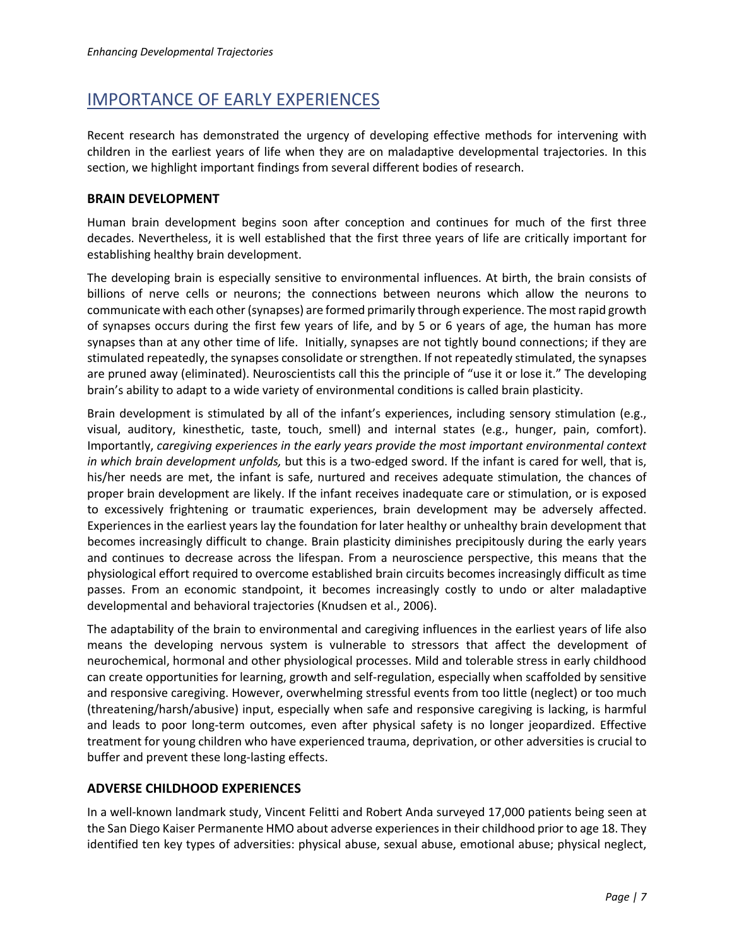# IMPORTANCE OF EARLY EXPERIENCES

Recent research has demonstrated the urgency of developing effective methods for intervening with children in the earliest years of life when they are on maladaptive developmental trajectories. In this section, we highlight important findings from several different bodies of research.

#### **BRAIN DEVELOPMENT**

Human brain development begins soon after conception and continues for much of the first three decades. Nevertheless, it is well established that the first three years of life are critically important for establishing healthy brain development.

The developing brain is especially sensitive to environmental influences. At birth, the brain consists of billions of nerve cells or neurons; the connections between neurons which allow the neurons to communicate with each other(synapses) are formed primarily through experience. The most rapid growth of synapses occurs during the first few years of life, and by 5 or 6 years of age, the human has more synapses than at any other time of life. Initially, synapses are not tightly bound connections; if they are stimulated repeatedly, the synapses consolidate or strengthen. If not repeatedly stimulated, the synapses are pruned away (eliminated). Neuroscientists call this the principle of "use it or lose it." The developing brain's ability to adapt to a wide variety of environmental conditions is called brain plasticity.

Brain development is stimulated by all of the infant's experiences, including sensory stimulation (e.g., visual, auditory, kinesthetic, taste, touch, smell) and internal states (e.g., hunger, pain, comfort). Importantly, *caregiving experiences in the early years provide the most important environmental context in which brain development unfolds,* but this is a two-edged sword. If the infant is cared for well, that is, his/her needs are met, the infant is safe, nurtured and receives adequate stimulation, the chances of proper brain development are likely. If the infant receives inadequate care or stimulation, or is exposed to excessively frightening or traumatic experiences, brain development may be adversely affected. Experiences in the earliest years lay the foundation for later healthy or unhealthy brain development that becomes increasingly difficult to change. Brain plasticity diminishes precipitously during the early years and continues to decrease across the lifespan. From a neuroscience perspective, this means that the physiological effort required to overcome established brain circuits becomes increasingly difficult as time passes. From an economic standpoint, it becomes increasingly costly to undo or alter maladaptive developmental and behavioral trajectories (Knudsen et al., 2006).

The adaptability of the brain to environmental and caregiving influences in the earliest years of life also means the developing nervous system is vulnerable to stressors that affect the development of neurochemical, hormonal and other physiological processes. Mild and tolerable stress in early childhood can create opportunities for learning, growth and self-regulation, especially when scaffolded by sensitive and responsive caregiving. However, overwhelming stressful events from too little (neglect) or too much (threatening/harsh/abusive) input, especially when safe and responsive caregiving is lacking, is harmful and leads to poor long-term outcomes, even after physical safety is no longer jeopardized. Effective treatment for young children who have experienced trauma, deprivation, or other adversities is crucial to buffer and prevent these long-lasting effects.

### **ADVERSE CHILDHOOD EXPERIENCES**

In a well-known landmark study, Vincent Felitti and Robert Anda surveyed 17,000 patients being seen at the San Diego Kaiser Permanente HMO about adverse experiences in their childhood prior to age 18. They identified ten key types of adversities: physical abuse, sexual abuse, emotional abuse; physical neglect,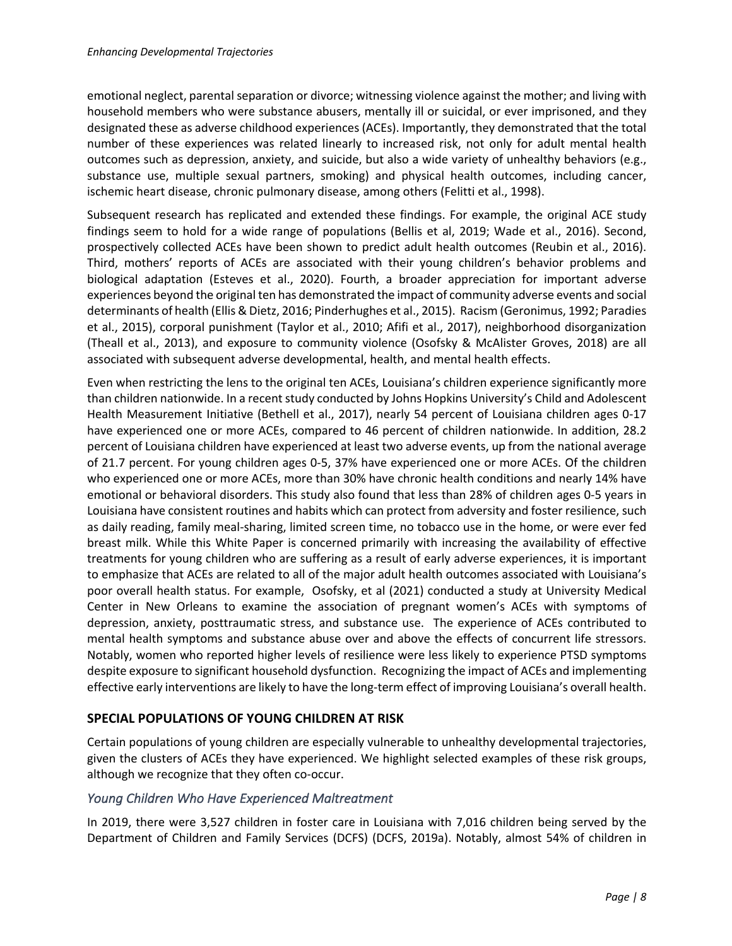emotional neglect, parental separation or divorce; witnessing violence against the mother; and living with household members who were substance abusers, mentally ill or suicidal, or ever imprisoned, and they designated these as adverse childhood experiences (ACEs). Importantly, they demonstrated that the total number of these experiences was related linearly to increased risk, not only for adult mental health outcomes such as depression, anxiety, and suicide, but also a wide variety of unhealthy behaviors (e.g., substance use, multiple sexual partners, smoking) and physical health outcomes, including cancer, ischemic heart disease, chronic pulmonary disease, among others (Felitti et al., 1998).

Subsequent research has replicated and extended these findings. For example, the original ACE study findings seem to hold for a wide range of populations (Bellis et al, 2019; Wade et al., 2016). Second, prospectively collected ACEs have been shown to predict adult health outcomes (Reubin et al., 2016). Third, mothers' reports of ACEs are associated with their young children's behavior problems and biological adaptation (Esteves et al., 2020). Fourth, a broader appreciation for important adverse experiences beyond the original ten has demonstrated the impact of community adverse events and social determinants of health (Ellis & Dietz, 2016; Pinderhughes et al., 2015). Racism (Geronimus, 1992; Paradies et al., 2015), corporal punishment (Taylor et al., 2010; Afifi et al., 2017), neighborhood disorganization (Theall et al., 2013), and exposure to community violence (Osofsky & McAlister Groves, 2018) are all associated with subsequent adverse developmental, health, and mental health effects.

Even when restricting the lens to the original ten ACEs, Louisiana's children experience significantly more than children nationwide. In a recent study conducted by Johns Hopkins University's Child and Adolescent Health Measurement Initiative (Bethell et al., 2017), nearly 54 percent of Louisiana children ages 0-17 have experienced one or more ACEs, compared to 46 percent of children nationwide. In addition, 28.2 percent of Louisiana children have experienced at least two adverse events, up from the national average of 21.7 percent. For young children ages 0-5, 37% have experienced one or more ACEs. Of the children who experienced one or more ACEs, more than 30% have chronic health conditions and nearly 14% have emotional or behavioral disorders. This study also found that less than 28% of children ages 0-5 years in Louisiana have consistent routines and habits which can protect from adversity and foster resilience, such as daily reading, family meal-sharing, limited screen time, no tobacco use in the home, or were ever fed breast milk. While this White Paper is concerned primarily with increasing the availability of effective treatments for young children who are suffering as a result of early adverse experiences, it is important to emphasize that ACEs are related to all of the major adult health outcomes associated with Louisiana's poor overall health status. For example, Osofsky, et al (2021) conducted a study at University Medical Center in New Orleans to examine the association of pregnant women's ACEs with symptoms of depression, anxiety, posttraumatic stress, and substance use. The experience of ACEs contributed to mental health symptoms and substance abuse over and above the effects of concurrent life stressors. Notably, women who reported higher levels of resilience were less likely to experience PTSD symptoms despite exposure to significant household dysfunction. Recognizing the impact of ACEs and implementing effective early interventions are likely to have the long-term effect of improving Louisiana's overall health.

### **SPECIAL POPULATIONS OF YOUNG CHILDREN AT RISK**

Certain populations of young children are especially vulnerable to unhealthy developmental trajectories, given the clusters of ACEs they have experienced. We highlight selected examples of these risk groups, although we recognize that they often co-occur.

#### *Young Children Who Have Experienced Maltreatment*

In 2019, there were 3,527 children in foster care in Louisiana with 7,016 children being served by the Department of Children and Family Services (DCFS) (DCFS, 2019a). Notably, almost 54% of children in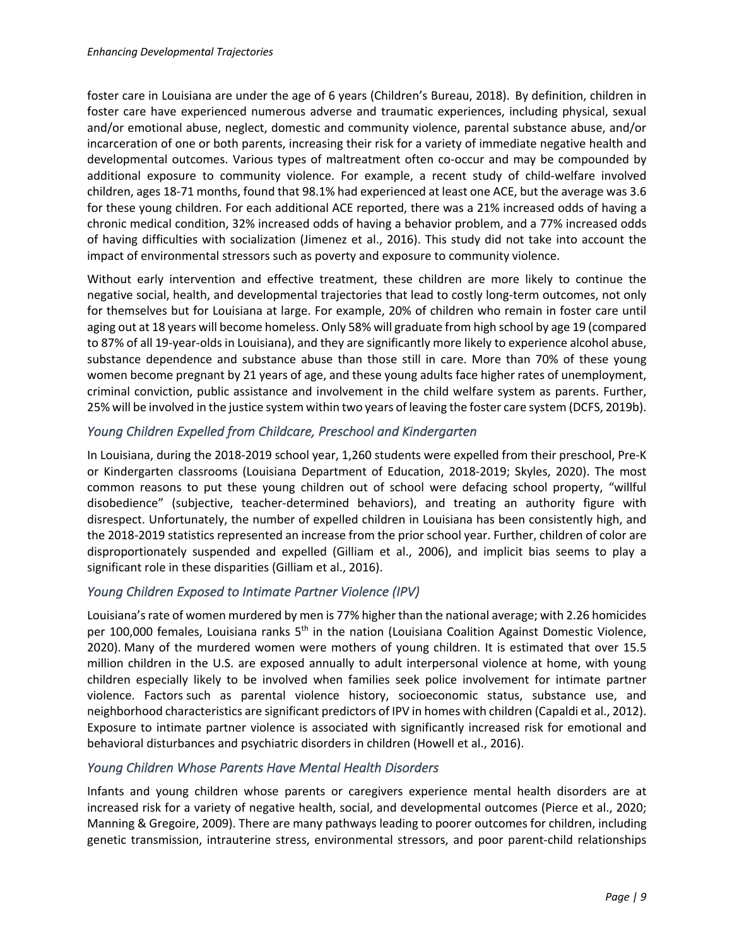foster care in Louisiana are under the age of 6 years (Children's Bureau, 2018). By definition, children in foster care have experienced numerous adverse and traumatic experiences, including physical, sexual and/or emotional abuse, neglect, domestic and community violence, parental substance abuse, and/or incarceration of one or both parents, increasing their risk for a variety of immediate negative health and developmental outcomes. Various types of maltreatment often co-occur and may be compounded by additional exposure to community violence. For example, a recent study of child-welfare involved children, ages 18-71 months, found that 98.1% had experienced at least one ACE, but the average was 3.6 for these young children. For each additional ACE reported, there was a 21% increased odds of having a chronic medical condition, 32% increased odds of having a behavior problem, and a 77% increased odds of having difficulties with socialization (Jimenez et al., 2016). This study did not take into account the impact of environmental stressors such as poverty and exposure to community violence.

Without early intervention and effective treatment, these children are more likely to continue the negative social, health, and developmental trajectories that lead to costly long-term outcomes, not only for themselves but for Louisiana at large. For example, 20% of children who remain in foster care until aging out at 18 years will become homeless. Only 58% will graduate from high school by age 19 (compared to 87% of all 19-year-olds in Louisiana), and they are significantly more likely to experience alcohol abuse, substance dependence and substance abuse than those still in care. More than 70% of these young women become pregnant by 21 years of age, and these young adults face higher rates of unemployment, criminal conviction, public assistance and involvement in the child welfare system as parents. Further, 25% will be involved in the justice system within two years of leaving the foster care system (DCFS, 2019b).

## *Young Children Expelled from Childcare, Preschool and Kindergarten*

In Louisiana, during the 2018-2019 school year, 1,260 students were expelled from their preschool, Pre-K or Kindergarten classrooms (Louisiana Department of Education, 2018-2019; Skyles, 2020). The most common reasons to put these young children out of school were defacing school property, "willful disobedience" (subjective, teacher-determined behaviors), and treating an authority figure with disrespect. Unfortunately, the number of expelled children in Louisiana has been consistently high, and the 2018-2019 statistics represented an increase from the prior school year. Further, children of color are disproportionately suspended and expelled (Gilliam et al., 2006), and implicit bias seems to play a significant role in these disparities (Gilliam et al., 2016).

## *Young Children Exposed to Intimate Partner Violence (IPV)*

Louisiana's rate of women murdered by men is 77% higher than the national average; with 2.26 homicides per 100,000 females, Louisiana ranks 5<sup>th</sup> in the nation (Louisiana Coalition Against Domestic Violence, 2020). Many of the murdered women were mothers of young children. It is estimated that over 15.5 million children in the U.S. are exposed annually to adult interpersonal violence at home, with young children especially likely to be involved when families seek police involvement for intimate partner violence. Factors such as parental violence history, socioeconomic status, substance use, and neighborhood characteristics are significant predictors of IPV in homes with children (Capaldi et al., 2012). Exposure to intimate partner violence is associated with significantly increased risk for emotional and behavioral disturbances and psychiatric disorders in children (Howell et al., 2016).

### *Young Children Whose Parents Have Mental Health Disorders*

Infants and young children whose parents or caregivers experience mental health disorders are at increased risk for a variety of negative health, social, and developmental outcomes (Pierce et al., 2020; Manning & Gregoire, 2009). There are many pathways leading to poorer outcomes for children, including genetic transmission, intrauterine stress, environmental stressors, and poor parent-child relationships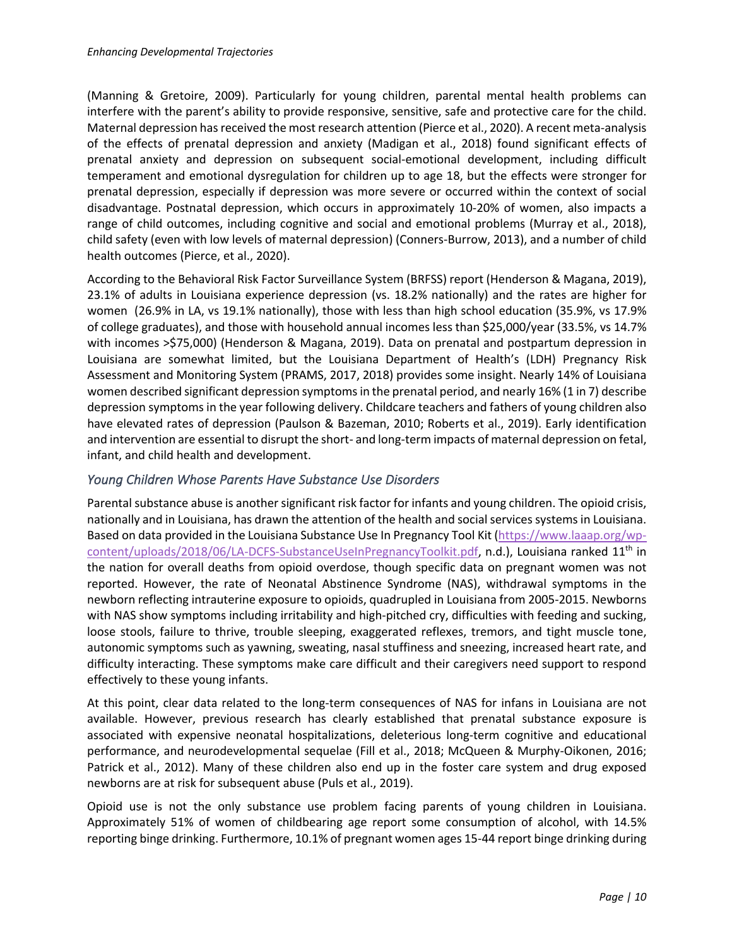(Manning & Gretoire, 2009). Particularly for young children, parental mental health problems can interfere with the parent's ability to provide responsive, sensitive, safe and protective care for the child. Maternal depression has received the most research attention (Pierce et al., 2020). A recent meta-analysis of the effects of prenatal depression and anxiety (Madigan et al., 2018) found significant effects of prenatal anxiety and depression on subsequent social-emotional development, including difficult temperament and emotional dysregulation for children up to age 18, but the effects were stronger for prenatal depression, especially if depression was more severe or occurred within the context of social disadvantage. Postnatal depression, which occurs in approximately 10-20% of women, also impacts a range of child outcomes, including cognitive and social and emotional problems (Murray et al., 2018), child safety (even with low levels of maternal depression) (Conners-Burrow, 2013), and a number of child health outcomes (Pierce, et al., 2020).

According to the Behavioral Risk Factor Surveillance System (BRFSS) report (Henderson & Magana, 2019), 23.1% of adults in Louisiana experience depression (vs. 18.2% nationally) and the rates are higher for women (26.9% in LA, vs 19.1% nationally), those with less than high school education (35.9%, vs 17.9% of college graduates), and those with household annual incomes less than \$25,000/year (33.5%, vs 14.7% with incomes >\$75,000) (Henderson & Magana, 2019). Data on prenatal and postpartum depression in Louisiana are somewhat limited, but the Louisiana Department of Health's (LDH) Pregnancy Risk Assessment and Monitoring System (PRAMS, 2017, 2018) provides some insight. Nearly 14% of Louisiana women described significant depression symptoms in the prenatal period, and nearly 16% (1 in 7) describe depression symptoms in the year following delivery. Childcare teachers and fathers of young children also have elevated rates of depression (Paulson & Bazeman, 2010; Roberts et al., 2019). Early identification and intervention are essential to disrupt the short- and long-term impacts of maternal depression on fetal, infant, and child health and development.

### *Young Children Whose Parents Have Substance Use Disorders*

Parental substance abuse is another significant risk factor for infants and young children. The opioid crisis, nationally and in Louisiana, has drawn the attention of the health and social services systems in Louisiana. Based on data provided in the Louisiana Substance Use In Pregnancy Tool Kit (https://www.laaap.org/wpcontent/uploads/2018/06/LA-DCFS-SubstanceUseInPregnancyToolkit.pdf, n.d.), Louisiana ranked 11<sup>th</sup> in the nation for overall deaths from opioid overdose, though specific data on pregnant women was not reported. However, the rate of Neonatal Abstinence Syndrome (NAS), withdrawal symptoms in the newborn reflecting intrauterine exposure to opioids, quadrupled in Louisiana from 2005-2015. Newborns with NAS show symptoms including irritability and high-pitched cry, difficulties with feeding and sucking, loose stools, failure to thrive, trouble sleeping, exaggerated reflexes, tremors, and tight muscle tone, autonomic symptoms such as yawning, sweating, nasal stuffiness and sneezing, increased heart rate, and difficulty interacting. These symptoms make care difficult and their caregivers need support to respond effectively to these young infants.

At this point, clear data related to the long-term consequences of NAS for infans in Louisiana are not available. However, previous research has clearly established that prenatal substance exposure is associated with expensive neonatal hospitalizations, deleterious long-term cognitive and educational performance, and neurodevelopmental sequelae (Fill et al., 2018; McQueen & Murphy-Oikonen, 2016; Patrick et al., 2012). Many of these children also end up in the foster care system and drug exposed newborns are at risk for subsequent abuse (Puls et al., 2019).

Opioid use is not the only substance use problem facing parents of young children in Louisiana. Approximately 51% of women of childbearing age report some consumption of alcohol, with 14.5% reporting binge drinking. Furthermore, 10.1% of pregnant women ages 15-44 report binge drinking during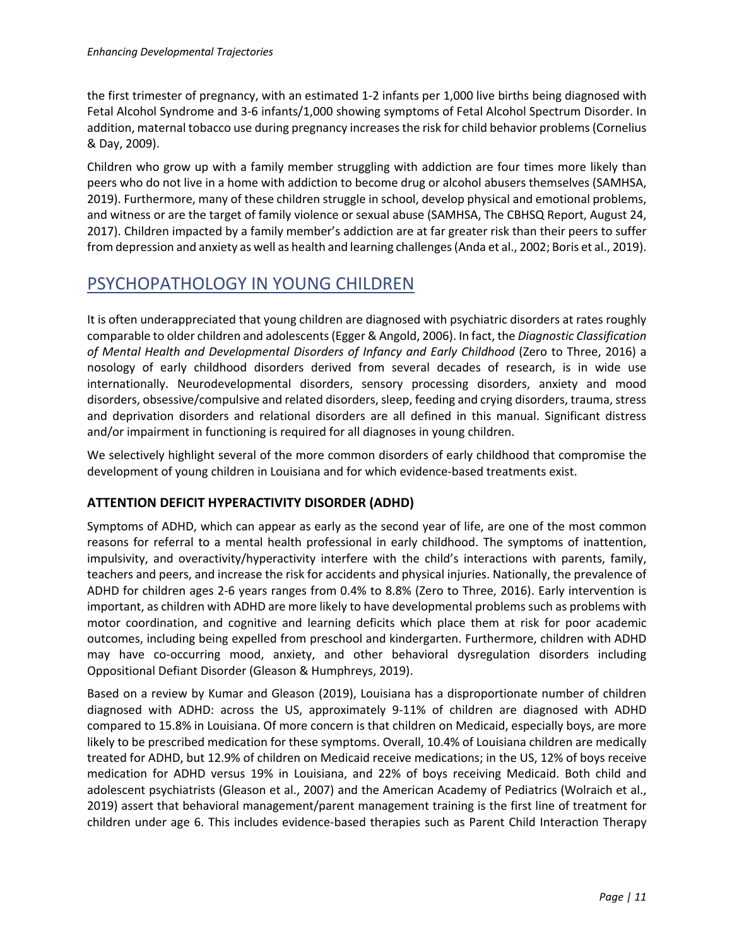the first trimester of pregnancy, with an estimated 1-2 infants per 1,000 live births being diagnosed with Fetal Alcohol Syndrome and 3-6 infants/1,000 showing symptoms of Fetal Alcohol Spectrum Disorder. In addition, maternal tobacco use during pregnancy increases the risk for child behavior problems (Cornelius & Day, 2009).

Children who grow up with a family member struggling with addiction are four times more likely than peers who do not live in a home with addiction to become drug or alcohol abusers themselves (SAMHSA, 2019). Furthermore, many of these children struggle in school, develop physical and emotional problems, and witness or are the target of family violence or sexual abuse (SAMHSA, The CBHSQ Report, August 24, 2017). Children impacted by a family member's addiction are at far greater risk than their peers to suffer from depression and anxiety as well as health and learning challenges (Anda et al., 2002; Boris et al., 2019).

# PSYCHOPATHOLOGY IN YOUNG CHILDREN

It is often underappreciated that young children are diagnosed with psychiatric disorders at rates roughly comparable to older children and adolescents (Egger & Angold, 2006). In fact, the *Diagnostic Classification of Mental Health and Developmental Disorders of Infancy and Early Childhood* (Zero to Three, 2016) a nosology of early childhood disorders derived from several decades of research, is in wide use internationally. Neurodevelopmental disorders, sensory processing disorders, anxiety and mood disorders, obsessive/compulsive and related disorders, sleep, feeding and crying disorders, trauma, stress and deprivation disorders and relational disorders are all defined in this manual. Significant distress and/or impairment in functioning is required for all diagnoses in young children.

We selectively highlight several of the more common disorders of early childhood that compromise the development of young children in Louisiana and for which evidence-based treatments exist.

## **ATTENTION DEFICIT HYPERACTIVITY DISORDER (ADHD)**

Symptoms of ADHD, which can appear as early as the second year of life, are one of the most common reasons for referral to a mental health professional in early childhood. The symptoms of inattention, impulsivity, and overactivity/hyperactivity interfere with the child's interactions with parents, family, teachers and peers, and increase the risk for accidents and physical injuries. Nationally, the prevalence of ADHD for children ages 2-6 years ranges from 0.4% to 8.8% (Zero to Three, 2016). Early intervention is important, as children with ADHD are more likely to have developmental problems such as problems with motor coordination, and cognitive and learning deficits which place them at risk for poor academic outcomes, including being expelled from preschool and kindergarten. Furthermore, children with ADHD may have co-occurring mood, anxiety, and other behavioral dysregulation disorders including Oppositional Defiant Disorder (Gleason & Humphreys, 2019).

Based on a review by Kumar and Gleason (2019), Louisiana has a disproportionate number of children diagnosed with ADHD: across the US, approximately 9-11% of children are diagnosed with ADHD compared to 15.8% in Louisiana. Of more concern is that children on Medicaid, especially boys, are more likely to be prescribed medication for these symptoms. Overall, 10.4% of Louisiana children are medically treated for ADHD, but 12.9% of children on Medicaid receive medications; in the US, 12% of boys receive medication for ADHD versus 19% in Louisiana, and 22% of boys receiving Medicaid. Both child and adolescent psychiatrists (Gleason et al., 2007) and the American Academy of Pediatrics (Wolraich et al., 2019) assert that behavioral management/parent management training is the first line of treatment for children under age 6. This includes evidence-based therapies such as Parent Child Interaction Therapy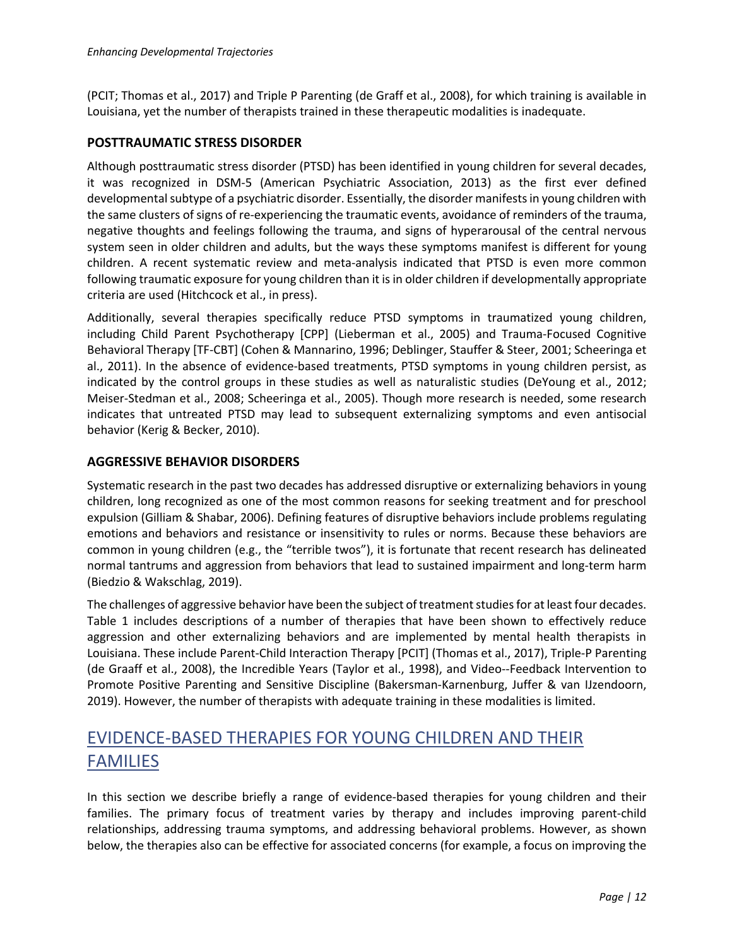(PCIT; Thomas et al., 2017) and Triple P Parenting (de Graff et al., 2008), for which training is available in Louisiana, yet the number of therapists trained in these therapeutic modalities is inadequate.

### **POSTTRAUMATIC STRESS DISORDER**

Although posttraumatic stress disorder (PTSD) has been identified in young children for several decades, it was recognized in DSM-5 (American Psychiatric Association, 2013) as the first ever defined developmental subtype of a psychiatric disorder. Essentially, the disorder manifests in young children with the same clusters of signs of re-experiencing the traumatic events, avoidance of reminders of the trauma, negative thoughts and feelings following the trauma, and signs of hyperarousal of the central nervous system seen in older children and adults, but the ways these symptoms manifest is different for young children. A recent systematic review and meta-analysis indicated that PTSD is even more common following traumatic exposure for young children than it is in older children if developmentally appropriate criteria are used (Hitchcock et al., in press).

Additionally, several therapies specifically reduce PTSD symptoms in traumatized young children, including Child Parent Psychotherapy [CPP] (Lieberman et al., 2005) and Trauma-Focused Cognitive Behavioral Therapy [TF-CBT] (Cohen & Mannarino, 1996; Deblinger, Stauffer & Steer, 2001; Scheeringa et al., 2011). In the absence of evidence-based treatments, PTSD symptoms in young children persist, as indicated by the control groups in these studies as well as naturalistic studies (DeYoung et al., 2012; Meiser-Stedman et al., 2008; Scheeringa et al., 2005). Though more research is needed, some research indicates that untreated PTSD may lead to subsequent externalizing symptoms and even antisocial behavior (Kerig & Becker, 2010).

### **AGGRESSIVE BEHAVIOR DISORDERS**

Systematic research in the past two decades has addressed disruptive or externalizing behaviors in young children, long recognized as one of the most common reasons for seeking treatment and for preschool expulsion (Gilliam & Shabar, 2006). Defining features of disruptive behaviors include problems regulating emotions and behaviors and resistance or insensitivity to rules or norms. Because these behaviors are common in young children (e.g., the "terrible twos"), it is fortunate that recent research has delineated normal tantrums and aggression from behaviors that lead to sustained impairment and long-term harm (Biedzio & Wakschlag, 2019).

The challenges of aggressive behavior have been the subject of treatment studies for at least four decades. Table 1 includes descriptions of a number of therapies that have been shown to effectively reduce aggression and other externalizing behaviors and are implemented by mental health therapists in Louisiana. These include Parent-Child Interaction Therapy [PCIT] (Thomas et al., 2017), Triple-P Parenting (de Graaff et al., 2008), the Incredible Years (Taylor et al., 1998), and Video--Feedback Intervention to Promote Positive Parenting and Sensitive Discipline (Bakersman-Karnenburg, Juffer & van IJzendoorn, 2019). However, the number of therapists with adequate training in these modalities is limited.

# EVIDENCE-BASED THERAPIES FOR YOUNG CHILDREN AND THEIR **FAMILIES**

In this section we describe briefly a range of evidence-based therapies for young children and their families. The primary focus of treatment varies by therapy and includes improving parent-child relationships, addressing trauma symptoms, and addressing behavioral problems. However, as shown below, the therapies also can be effective for associated concerns (for example, a focus on improving the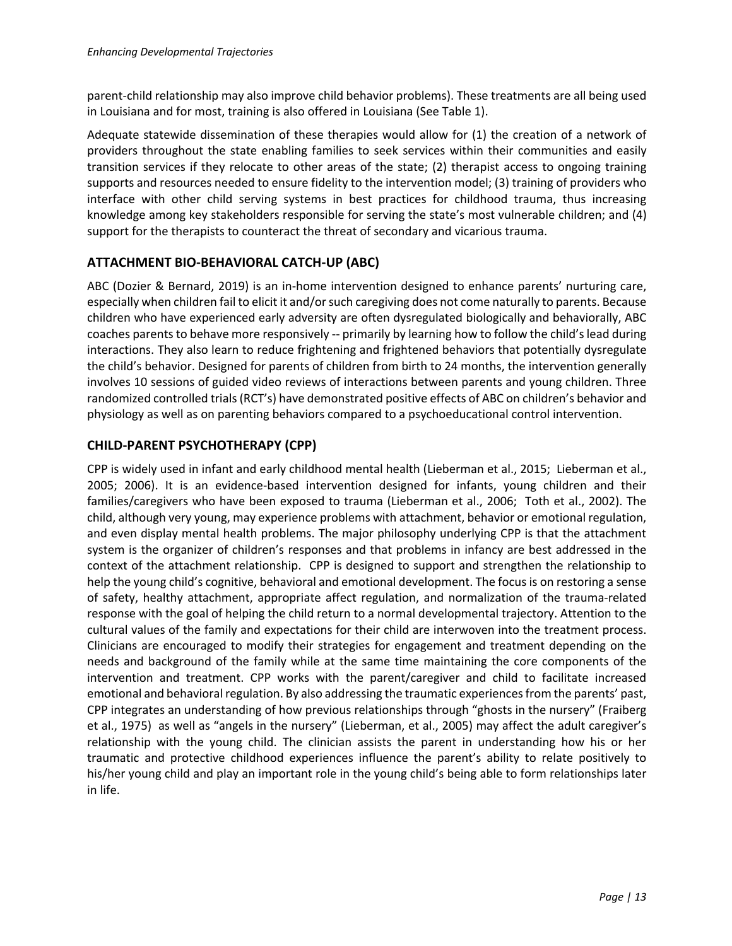parent-child relationship may also improve child behavior problems). These treatments are all being used in Louisiana and for most, training is also offered in Louisiana (See Table 1).

Adequate statewide dissemination of these therapies would allow for (1) the creation of a network of providers throughout the state enabling families to seek services within their communities and easily transition services if they relocate to other areas of the state; (2) therapist access to ongoing training supports and resources needed to ensure fidelity to the intervention model; (3) training of providers who interface with other child serving systems in best practices for childhood trauma, thus increasing knowledge among key stakeholders responsible for serving the state's most vulnerable children; and (4) support for the therapists to counteract the threat of secondary and vicarious trauma.

## **ATTACHMENT BIO-BEHAVIORAL CATCH-UP (ABC)**

ABC (Dozier & Bernard, 2019) is an in-home intervention designed to enhance parents' nurturing care, especially when children fail to elicit it and/or such caregiving does not come naturally to parents. Because children who have experienced early adversity are often dysregulated biologically and behaviorally, ABC coaches parents to behave more responsively -- primarily by learning how to follow the child's lead during interactions. They also learn to reduce frightening and frightened behaviors that potentially dysregulate the child's behavior. Designed for parents of children from birth to 24 months, the intervention generally involves 10 sessions of guided video reviews of interactions between parents and young children. Three randomized controlled trials (RCT's) have demonstrated positive effects of ABC on children's behavior and physiology as well as on parenting behaviors compared to a psychoeducational control intervention.

## **CHILD-PARENT PSYCHOTHERAPY (CPP)**

CPP is widely used in infant and early childhood mental health (Lieberman et al., 2015; Lieberman et al., 2005; 2006). It is an evidence-based intervention designed for infants, young children and their families/caregivers who have been exposed to trauma (Lieberman et al., 2006; Toth et al., 2002). The child, although very young, may experience problems with attachment, behavior or emotional regulation, and even display mental health problems. The major philosophy underlying CPP is that the attachment system is the organizer of children's responses and that problems in infancy are best addressed in the context of the attachment relationship. CPP is designed to support and strengthen the relationship to help the young child's cognitive, behavioral and emotional development. The focus is on restoring a sense of safety, healthy attachment, appropriate affect regulation, and normalization of the trauma-related response with the goal of helping the child return to a normal developmental trajectory. Attention to the cultural values of the family and expectations for their child are interwoven into the treatment process. Clinicians are encouraged to modify their strategies for engagement and treatment depending on the needs and background of the family while at the same time maintaining the core components of the intervention and treatment. CPP works with the parent/caregiver and child to facilitate increased emotional and behavioral regulation. By also addressing the traumatic experiences from the parents' past, CPP integrates an understanding of how previous relationships through "ghosts in the nursery" (Fraiberg et al., 1975) as well as "angels in the nursery" (Lieberman, et al., 2005) may affect the adult caregiver's relationship with the young child. The clinician assists the parent in understanding how his or her traumatic and protective childhood experiences influence the parent's ability to relate positively to his/her young child and play an important role in the young child's being able to form relationships later in life.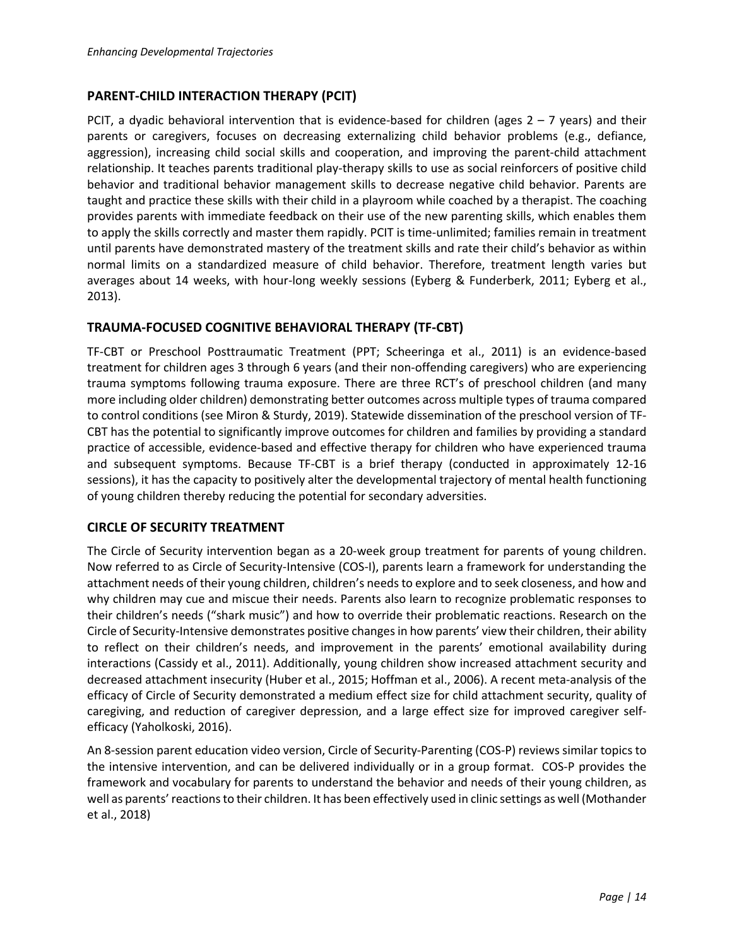### **PARENT-CHILD INTERACTION THERAPY (PCIT)**

PCIT, a dyadic behavioral intervention that is evidence-based for children (ages  $2 - 7$  years) and their parents or caregivers, focuses on decreasing externalizing child behavior problems (e.g., defiance, aggression), increasing child social skills and cooperation, and improving the parent-child attachment relationship. It teaches parents traditional play-therapy skills to use as social reinforcers of positive child behavior and traditional behavior management skills to decrease negative child behavior. Parents are taught and practice these skills with their child in a playroom while coached by a therapist. The coaching provides parents with immediate feedback on their use of the new parenting skills, which enables them to apply the skills correctly and master them rapidly. PCIT is time-unlimited; families remain in treatment until parents have demonstrated mastery of the treatment skills and rate their child's behavior as within normal limits on a standardized measure of child behavior. Therefore, treatment length varies but averages about 14 weeks, with hour-long weekly sessions (Eyberg & Funderberk, 2011; Eyberg et al., 2013).

### **TRAUMA-FOCUSED COGNITIVE BEHAVIORAL THERAPY (TF-CBT)**

TF-CBT or Preschool Posttraumatic Treatment (PPT; Scheeringa et al., 2011) is an evidence-based treatment for children ages 3 through 6 years (and their non-offending caregivers) who are experiencing trauma symptoms following trauma exposure. There are three RCT's of preschool children (and many more including older children) demonstrating better outcomes across multiple types of trauma compared to control conditions (see Miron & Sturdy, 2019). Statewide dissemination of the preschool version of TF-CBT has the potential to significantly improve outcomes for children and families by providing a standard practice of accessible, evidence-based and effective therapy for children who have experienced trauma and subsequent symptoms. Because TF-CBT is a brief therapy (conducted in approximately 12-16 sessions), it has the capacity to positively alter the developmental trajectory of mental health functioning of young children thereby reducing the potential for secondary adversities.

#### **CIRCLE OF SECURITY TREATMENT**

The Circle of Security intervention began as a 20-week group treatment for parents of young children. Now referred to as Circle of Security-Intensive (COS-I), parents learn a framework for understanding the attachment needs of their young children, children's needsto explore and to seek closeness, and how and why children may cue and miscue their needs. Parents also learn to recognize problematic responses to their children's needs ("shark music") and how to override their problematic reactions. Research on the Circle of Security-Intensive demonstrates positive changes in how parents' view their children, their ability to reflect on their children's needs, and improvement in the parents' emotional availability during interactions (Cassidy et al., 2011). Additionally, young children show increased attachment security and decreased attachment insecurity (Huber et al., 2015; Hoffman et al., 2006). A recent meta-analysis of the efficacy of Circle of Security demonstrated a medium effect size for child attachment security, quality of caregiving, and reduction of caregiver depression, and a large effect size for improved caregiver selfefficacy (Yaholkoski, 2016).

An 8-session parent education video version, Circle of Security-Parenting (COS-P) reviews similar topics to the intensive intervention, and can be delivered individually or in a group format. COS-P provides the framework and vocabulary for parents to understand the behavior and needs of their young children, as well as parents' reactions to their children. It has been effectively used in clinic settings as well (Mothander et al., 2018)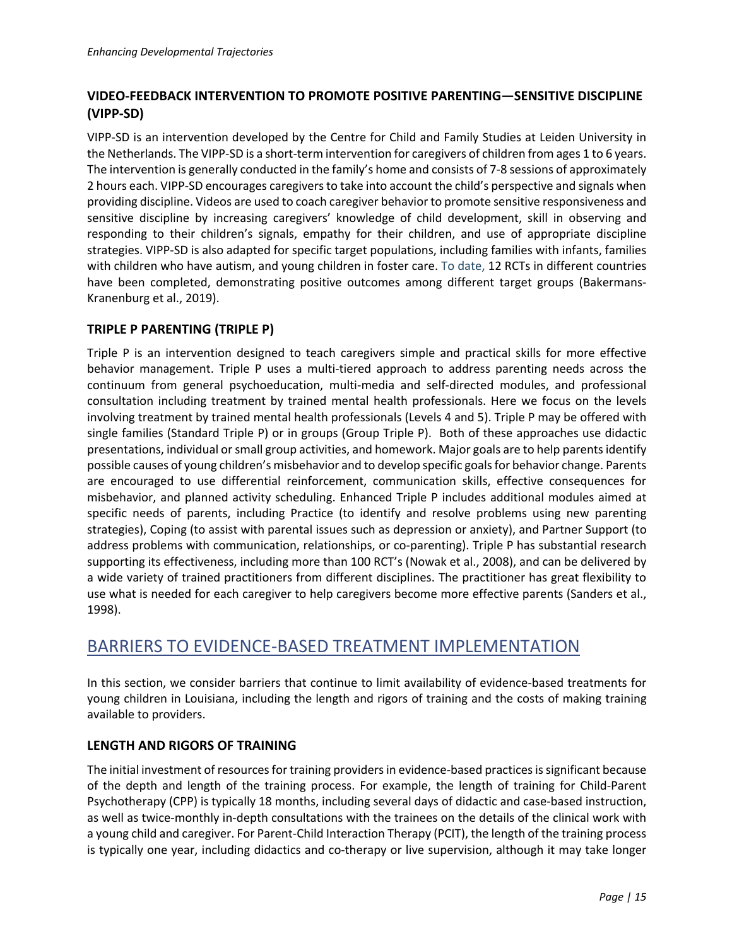## **VIDEO-FEEDBACK INTERVENTION TO PROMOTE POSITIVE PARENTING—SENSITIVE DISCIPLINE (VIPP-SD)**

VIPP-SD is an intervention developed by the Centre for Child and Family Studies at Leiden University in the Netherlands. The VIPP-SD is a short-term intervention for caregivers of children from ages 1 to 6 years. The intervention is generally conducted in the family's home and consists of 7-8 sessions of approximately 2 hours each. VIPP-SD encourages caregivers to take into account the child's perspective and signals when providing discipline. Videos are used to coach caregiver behavior to promote sensitive responsiveness and sensitive discipline by increasing caregivers' knowledge of child development, skill in observing and responding to their children's signals, empathy for their children, and use of appropriate discipline strategies. VIPP-SD is also adapted for specific target populations, including families with infants, families with children who have autism, and young children in foster care. To date, 12 RCTs in different countries have been completed, demonstrating positive outcomes among different target groups (Bakermans-Kranenburg et al., 2019).

### **TRIPLE P PARENTING (TRIPLE P)**

Triple P is an intervention designed to teach caregivers simple and practical skills for more effective behavior management. Triple P uses a multi-tiered approach to address parenting needs across the continuum from general psychoeducation, multi-media and self-directed modules, and professional consultation including treatment by trained mental health professionals. Here we focus on the levels involving treatment by trained mental health professionals (Levels 4 and 5). Triple P may be offered with single families (Standard Triple P) or in groups (Group Triple P). Both of these approaches use didactic presentations, individual or small group activities, and homework. Major goals are to help parents identify possible causes of young children's misbehavior and to develop specific goals for behavior change. Parents are encouraged to use differential reinforcement, communication skills, effective consequences for misbehavior, and planned activity scheduling. Enhanced Triple P includes additional modules aimed at specific needs of parents, including Practice (to identify and resolve problems using new parenting strategies), Coping (to assist with parental issues such as depression or anxiety), and Partner Support (to address problems with communication, relationships, or co-parenting). Triple P has substantial research supporting its effectiveness, including more than 100 RCT's (Nowak et al., 2008), and can be delivered by a wide variety of trained practitioners from different disciplines. The practitioner has great flexibility to use what is needed for each caregiver to help caregivers become more effective parents (Sanders et al., 1998).

## BARRIERS TO EVIDENCE-BASED TREATMENT IMPLEMENTATION

In this section, we consider barriers that continue to limit availability of evidence-based treatments for young children in Louisiana, including the length and rigors of training and the costs of making training available to providers.

### **LENGTH AND RIGORS OF TRAINING**

The initial investment of resources for training providers in evidence-based practices is significant because of the depth and length of the training process. For example, the length of training for Child-Parent Psychotherapy (CPP) is typically 18 months, including several days of didactic and case-based instruction, as well as twice-monthly in-depth consultations with the trainees on the details of the clinical work with a young child and caregiver. For Parent-Child Interaction Therapy (PCIT), the length of the training process is typically one year, including didactics and co-therapy or live supervision, although it may take longer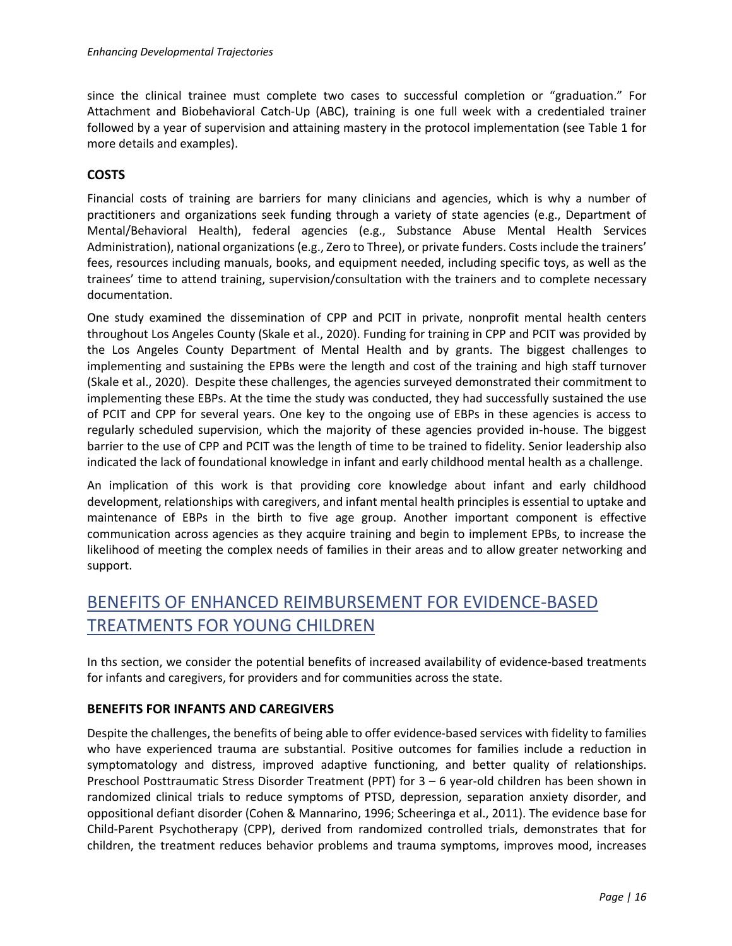since the clinical trainee must complete two cases to successful completion or "graduation." For Attachment and Biobehavioral Catch-Up (ABC), training is one full week with a credentialed trainer followed by a year of supervision and attaining mastery in the protocol implementation (see Table 1 for more details and examples).

## **COSTS**

Financial costs of training are barriers for many clinicians and agencies, which is why a number of practitioners and organizations seek funding through a variety of state agencies (e.g., Department of Mental/Behavioral Health), federal agencies (e.g., Substance Abuse Mental Health Services Administration), national organizations (e.g., Zero to Three), or private funders. Costs include the trainers' fees, resources including manuals, books, and equipment needed, including specific toys, as well as the trainees' time to attend training, supervision/consultation with the trainers and to complete necessary documentation.

One study examined the dissemination of CPP and PCIT in private, nonprofit mental health centers throughout Los Angeles County (Skale et al., 2020). Funding for training in CPP and PCIT was provided by the Los Angeles County Department of Mental Health and by grants. The biggest challenges to implementing and sustaining the EPBs were the length and cost of the training and high staff turnover (Skale et al., 2020). Despite these challenges, the agencies surveyed demonstrated their commitment to implementing these EBPs. At the time the study was conducted, they had successfully sustained the use of PCIT and CPP for several years. One key to the ongoing use of EBPs in these agencies is access to regularly scheduled supervision, which the majority of these agencies provided in-house. The biggest barrier to the use of CPP and PCIT was the length of time to be trained to fidelity. Senior leadership also indicated the lack of foundational knowledge in infant and early childhood mental health as a challenge.

An implication of this work is that providing core knowledge about infant and early childhood development, relationships with caregivers, and infant mental health principles is essential to uptake and maintenance of EBPs in the birth to five age group. Another important component is effective communication across agencies as they acquire training and begin to implement EPBs, to increase the likelihood of meeting the complex needs of families in their areas and to allow greater networking and support.

# BENEFITS OF ENHANCED REIMBURSEMENT FOR EVIDENCE-BASED TREATMENTS FOR YOUNG CHILDREN

In ths section, we consider the potential benefits of increased availability of evidence-based treatments for infants and caregivers, for providers and for communities across the state.

### **BENEFITS FOR INFANTS AND CAREGIVERS**

Despite the challenges, the benefits of being able to offer evidence-based services with fidelity to families who have experienced trauma are substantial. Positive outcomes for families include a reduction in symptomatology and distress, improved adaptive functioning, and better quality of relationships. Preschool Posttraumatic Stress Disorder Treatment (PPT) for 3 – 6 year-old children has been shown in randomized clinical trials to reduce symptoms of PTSD, depression, separation anxiety disorder, and oppositional defiant disorder (Cohen & Mannarino, 1996; Scheeringa et al., 2011). The evidence base for Child-Parent Psychotherapy (CPP), derived from randomized controlled trials, demonstrates that for children, the treatment reduces behavior problems and trauma symptoms, improves mood, increases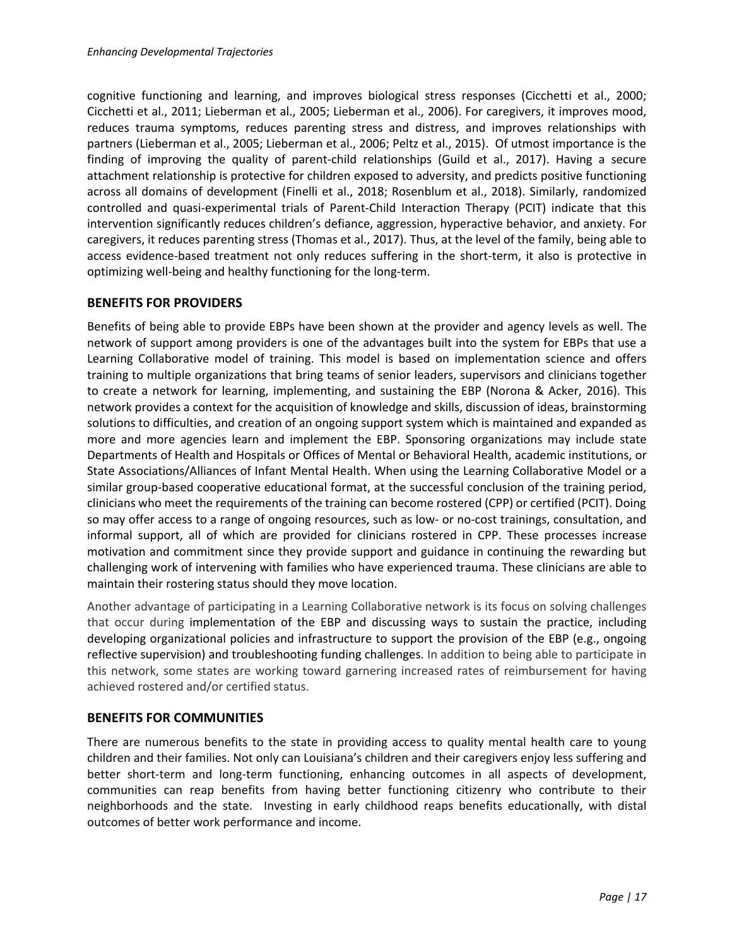cognitive functioning and learning, and improves biological stress responses (Cicchetti et al., 2000; Cicchetti et al., 2011; Lieberman et al., 2005; Lieberman et al., 2006). For caregivers, it improves mood, reduces trauma symptoms, reduces parenting stress and distress, and improves relationships with partners (Lieberman et al., 2005; Lieberman et al., 2006; Peltz et al., 2015). Of utmost importance is the finding of improving the quality of parent-child relationships (Guild et al., 2017). Having a secure attachment relationship is protective for children exposed to adversity, and predicts positive functioning across all domains of development (Finelli et al., 2018; Rosenblum et al., 2018). Similarly, randomized controlled and quasi-experimental trials of Parent-Child Interaction Therapy (PCIT) indicate that this intervention significantly reduces children's defiance, aggression, hyperactive behavior, and anxiety. For caregivers, it reduces parenting stress (Thomas et al., 2017). Thus, at the level of the family, being able to access evidence-based treatment not only reduces suffering in the short-term, it also is protective in optimizing well-being and healthy functioning for the long-term.

### **BENEFITS FOR PROVIDERS**

Benefits of being able to provide EBPs have been shown at the provider and agency levels as well. The network of support among providers is one of the advantages built into the system for EBPs that use a Learning Collaborative model of training. This model is based on implementation science and offers training to multiple organizations that bring teams of senior leaders, supervisors and clinicians together to create a network for learning, implementing, and sustaining the EBP (Norona & Acker, 2016). This network provides a context for the acquisition of knowledge and skills, discussion of ideas, brainstorming solutions to difficulties, and creation of an ongoing support system which is maintained and expanded as more and more agencies learn and implement the EBP. Sponsoring organizations may include state Departments of Health and Hospitals or Offices of Mental or Behavioral Health, academic institutions, or State Associations/Alliances of Infant Mental Health. When using the Learning Collaborative Model or a similar group-based cooperative educational format, at the successful conclusion of the training period, clinicians who meet the requirements of the training can become rostered (CPP) or certified (PCIT). Doing so may offer access to a range of ongoing resources, such as low- or no-cost trainings, consultation, and informal support, all of which are provided for clinicians rostered in CPP. These processes increase motivation and commitment since they provide support and guidance in continuing the rewarding but challenging work of intervening with families who have experienced trauma. These clinicians are able to maintain their rostering status should they move location.

Another advantage of participating in a Learning Collaborative network is its focus on solving challenges that occur during implementation of the EBP and discussing ways to sustain the practice, including developing organizational policies and infrastructure to support the provision of the EBP (e.g., ongoing reflective supervision) and troubleshooting funding challenges. In addition to being able to participate in this network, some states are working toward garnering increased rates of reimbursement for having achieved rostered and/or certified status.

### **BENEFITS FOR COMMUNITIES**

There are numerous benefits to the state in providing access to quality mental health care to young children and their families. Not only can Louisiana's children and their caregivers enjoy less suffering and better short-term and long-term functioning, enhancing outcomes in all aspects of development, communities can reap benefits from having better functioning citizenry who contribute to their neighborhoods and the state. Investing in early childhood reaps benefits educationally, with distal outcomes of better work performance and income.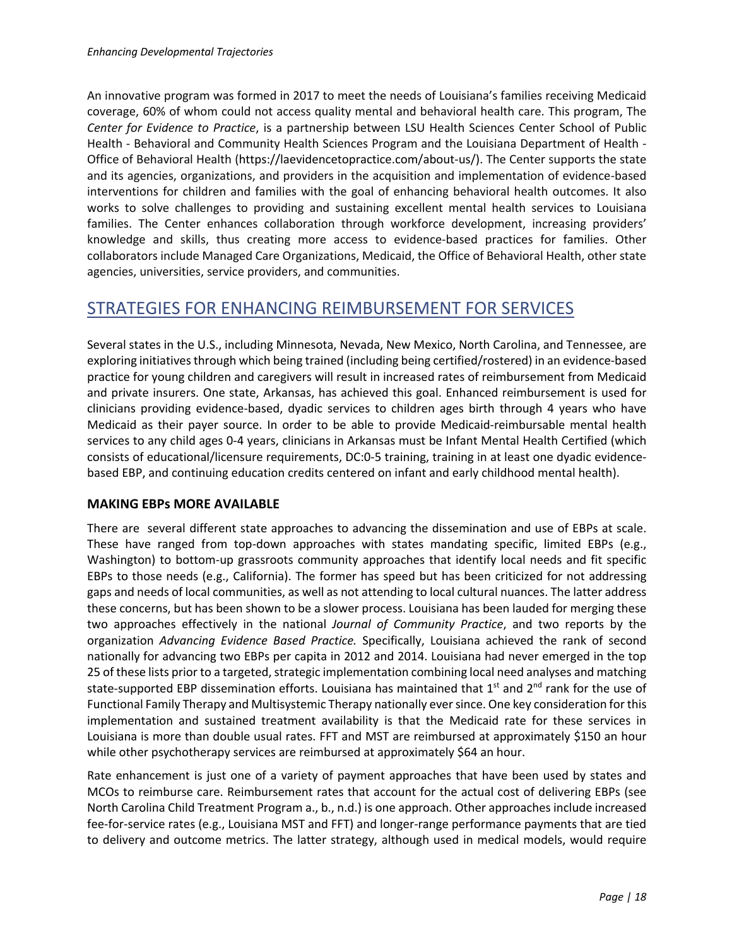An innovative program was formed in 2017 to meet the needs of Louisiana's families receiving Medicaid coverage, 60% of whom could not access quality mental and behavioral health care. This program, The *Center for Evidence to Practice*, is a partnership between LSU Health Sciences Center School of Public Health - Behavioral and Community Health Sciences Program and the Louisiana Department of Health - Office of Behavioral Health (https://laevidencetopractice.com/about-us/). The Center supports the state and its agencies, organizations, and providers in the acquisition and implementation of evidence-based interventions for children and families with the goal of enhancing behavioral health outcomes. It also works to solve challenges to providing and sustaining excellent mental health services to Louisiana families. The Center enhances collaboration through workforce development, increasing providers' knowledge and skills, thus creating more access to evidence-based practices for families. Other collaborators include Managed Care Organizations, Medicaid, the Office of Behavioral Health, other state agencies, universities, service providers, and communities.

# STRATEGIES FOR ENHANCING REIMBURSEMENT FOR SERVICES

Several states in the U.S., including Minnesota, Nevada, New Mexico, North Carolina, and Tennessee, are exploring initiatives through which being trained (including being certified/rostered) in an evidence-based practice for young children and caregivers will result in increased rates of reimbursement from Medicaid and private insurers. One state, Arkansas, has achieved this goal. Enhanced reimbursement is used for clinicians providing evidence-based, dyadic services to children ages birth through 4 years who have Medicaid as their payer source. In order to be able to provide Medicaid-reimbursable mental health services to any child ages 0-4 years, clinicians in Arkansas must be Infant Mental Health Certified (which consists of educational/licensure requirements, DC:0-5 training, training in at least one dyadic evidencebased EBP, and continuing education credits centered on infant and early childhood mental health).

#### **MAKING EBPs MORE AVAILABLE**

There are several different state approaches to advancing the dissemination and use of EBPs at scale. These have ranged from top-down approaches with states mandating specific, limited EBPs (e.g., Washington) to bottom-up grassroots community approaches that identify local needs and fit specific EBPs to those needs (e.g., California). The former has speed but has been criticized for not addressing gaps and needs of local communities, as well as not attending to local cultural nuances. The latter address these concerns, but has been shown to be a slower process. Louisiana has been lauded for merging these two approaches effectively in the national *Journal of Community Practice*, and two reports by the organization *Advancing Evidence Based Practice.* Specifically, Louisiana achieved the rank of second nationally for advancing two EBPs per capita in 2012 and 2014. Louisiana had never emerged in the top 25 of these lists prior to a targeted, strategic implementation combining local need analyses and matching state-supported EBP dissemination efforts. Louisiana has maintained that  $1<sup>st</sup>$  and  $2<sup>nd</sup>$  rank for the use of Functional Family Therapy and Multisystemic Therapy nationally ever since. One key consideration for this implementation and sustained treatment availability is that the Medicaid rate for these services in Louisiana is more than double usual rates. FFT and MST are reimbursed at approximately \$150 an hour while other psychotherapy services are reimbursed at approximately \$64 an hour.

Rate enhancement is just one of a variety of payment approaches that have been used by states and MCOs to reimburse care. Reimbursement rates that account for the actual cost of delivering EBPs (see North Carolina Child Treatment Program a., b., n.d.) is one approach. Other approaches include increased fee-for-service rates (e.g., Louisiana MST and FFT) and longer-range performance payments that are tied to delivery and outcome metrics. The latter strategy, although used in medical models, would require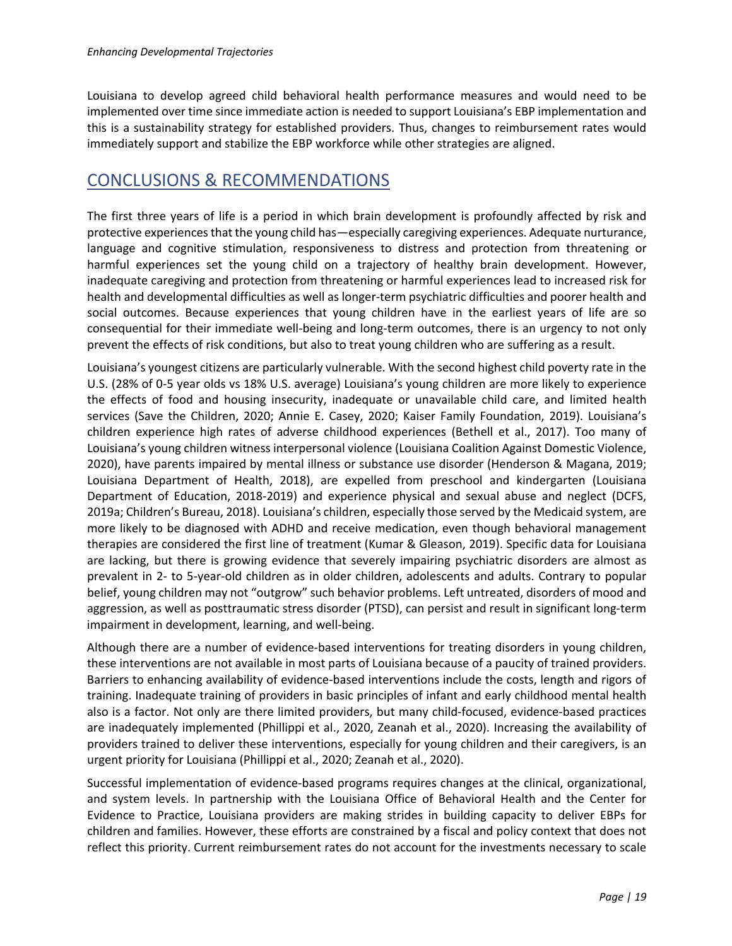Louisiana to develop agreed child behavioral health performance measures and would need to be implemented over time since immediate action is needed to support Louisiana's EBP implementation and this is a sustainability strategy for established providers. Thus, changes to reimbursement rates would immediately support and stabilize the EBP workforce while other strategies are aligned.

# CONCLUSIONS & RECOMMENDATIONS

The first three years of life is a period in which brain development is profoundly affected by risk and protective experiences that the young child has—especially caregiving experiences. Adequate nurturance, language and cognitive stimulation, responsiveness to distress and protection from threatening or harmful experiences set the young child on a trajectory of healthy brain development. However, inadequate caregiving and protection from threatening or harmful experiences lead to increased risk for health and developmental difficulties as well as longer-term psychiatric difficulties and poorer health and social outcomes. Because experiences that young children have in the earliest years of life are so consequential for their immediate well-being and long-term outcomes, there is an urgency to not only prevent the effects of risk conditions, but also to treat young children who are suffering as a result.

Louisiana's youngest citizens are particularly vulnerable. With the second highest child poverty rate in the U.S. (28% of 0-5 year olds vs 18% U.S. average) Louisiana's young children are more likely to experience the effects of food and housing insecurity, inadequate or unavailable child care, and limited health services (Save the Children, 2020; Annie E. Casey, 2020; Kaiser Family Foundation, 2019). Louisiana's children experience high rates of adverse childhood experiences (Bethell et al., 2017). Too many of Louisiana's young children witness interpersonal violence (Louisiana Coalition Against Domestic Violence, 2020), have parents impaired by mental illness or substance use disorder (Henderson & Magana, 2019; Louisiana Department of Health, 2018), are expelled from preschool and kindergarten (Louisiana Department of Education, 2018-2019) and experience physical and sexual abuse and neglect (DCFS, 2019a; Children's Bureau, 2018). Louisiana's children, especially those served by the Medicaid system, are more likely to be diagnosed with ADHD and receive medication, even though behavioral management therapies are considered the first line of treatment (Kumar & Gleason, 2019). Specific data for Louisiana are lacking, but there is growing evidence that severely impairing psychiatric disorders are almost as prevalent in 2- to 5-year-old children as in older children, adolescents and adults. Contrary to popular belief, young children may not "outgrow" such behavior problems. Left untreated, disorders of mood and aggression, as well as posttraumatic stress disorder (PTSD), can persist and result in significant long-term impairment in development, learning, and well-being.

Although there are a number of evidence-based interventions for treating disorders in young children, these interventions are not available in most parts of Louisiana because of a paucity of trained providers. Barriers to enhancing availability of evidence-based interventions include the costs, length and rigors of training. Inadequate training of providers in basic principles of infant and early childhood mental health also is a factor. Not only are there limited providers, but many child-focused, evidence-based practices are inadequately implemented (Phillippi et al., 2020, Zeanah et al., 2020). Increasing the availability of providers trained to deliver these interventions, especially for young children and their caregivers, is an urgent priority for Louisiana (Phillippi et al., 2020; Zeanah et al., 2020).

Successful implementation of evidence-based programs requires changes at the clinical, organizational, and system levels. In partnership with the Louisiana Office of Behavioral Health and the Center for Evidence to Practice, Louisiana providers are making strides in building capacity to deliver EBPs for children and families. However, these efforts are constrained by a fiscal and policy context that does not reflect this priority. Current reimbursement rates do not account for the investments necessary to scale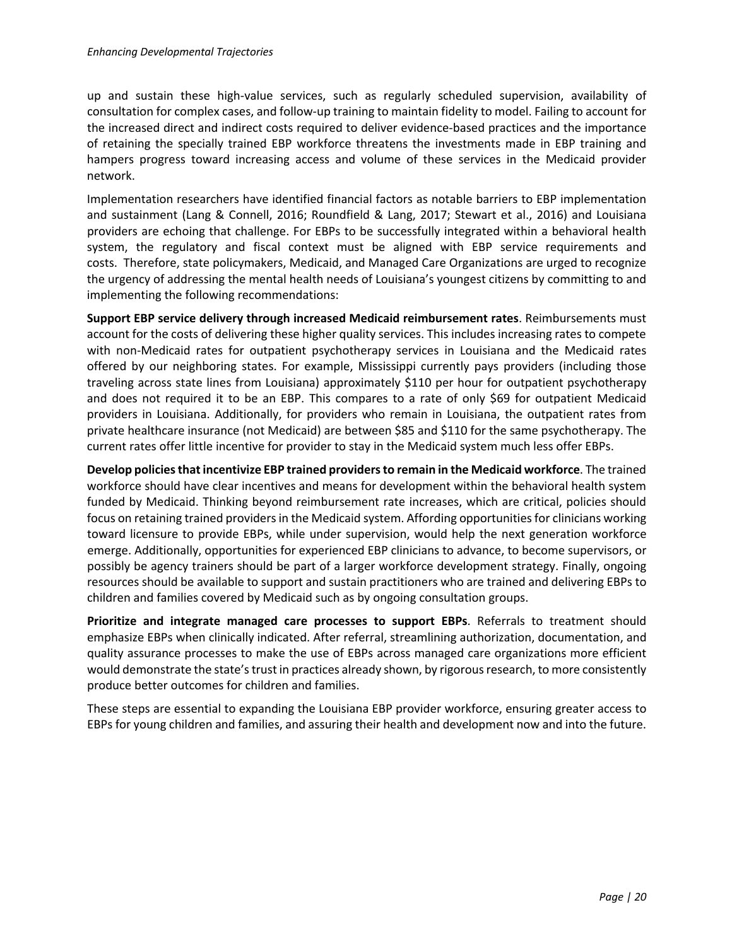up and sustain these high-value services, such as regularly scheduled supervision, availability of consultation for complex cases, and follow-up training to maintain fidelity to model. Failing to account for the increased direct and indirect costs required to deliver evidence-based practices and the importance of retaining the specially trained EBP workforce threatens the investments made in EBP training and hampers progress toward increasing access and volume of these services in the Medicaid provider network.

Implementation researchers have identified financial factors as notable barriers to EBP implementation and sustainment (Lang & Connell, 2016; Roundfield & Lang, 2017; Stewart et al., 2016) and Louisiana providers are echoing that challenge. For EBPs to be successfully integrated within a behavioral health system, the regulatory and fiscal context must be aligned with EBP service requirements and costs. Therefore, state policymakers, Medicaid, and Managed Care Organizations are urged to recognize the urgency of addressing the mental health needs of Louisiana's youngest citizens by committing to and implementing the following recommendations:

**Support EBP service delivery through increased Medicaid reimbursement rates**. Reimbursements must account for the costs of delivering these higher quality services. This includes increasing rates to compete with non-Medicaid rates for outpatient psychotherapy services in Louisiana and the Medicaid rates offered by our neighboring states. For example, Mississippi currently pays providers (including those traveling across state lines from Louisiana) approximately \$110 per hour for outpatient psychotherapy and does not required it to be an EBP. This compares to a rate of only \$69 for outpatient Medicaid providers in Louisiana. Additionally, for providers who remain in Louisiana, the outpatient rates from private healthcare insurance (not Medicaid) are between \$85 and \$110 for the same psychotherapy. The current rates offer little incentive for provider to stay in the Medicaid system much less offer EBPs.

**Develop policies that incentivize EBP trained providers to remain in the Medicaid workforce**. The trained workforce should have clear incentives and means for development within the behavioral health system funded by Medicaid. Thinking beyond reimbursement rate increases, which are critical, policies should focus on retaining trained providers in the Medicaid system. Affording opportunities for clinicians working toward licensure to provide EBPs, while under supervision, would help the next generation workforce emerge. Additionally, opportunities for experienced EBP clinicians to advance, to become supervisors, or possibly be agency trainers should be part of a larger workforce development strategy. Finally, ongoing resources should be available to support and sustain practitioners who are trained and delivering EBPs to children and families covered by Medicaid such as by ongoing consultation groups.

**Prioritize and integrate managed care processes to support EBPs**. Referrals to treatment should emphasize EBPs when clinically indicated. After referral, streamlining authorization, documentation, and quality assurance processes to make the use of EBPs across managed care organizations more efficient would demonstrate the state's trust in practices already shown, by rigorous research, to more consistently produce better outcomes for children and families.

These steps are essential to expanding the Louisiana EBP provider workforce, ensuring greater access to EBPs for young children and families, and assuring their health and development now and into the future.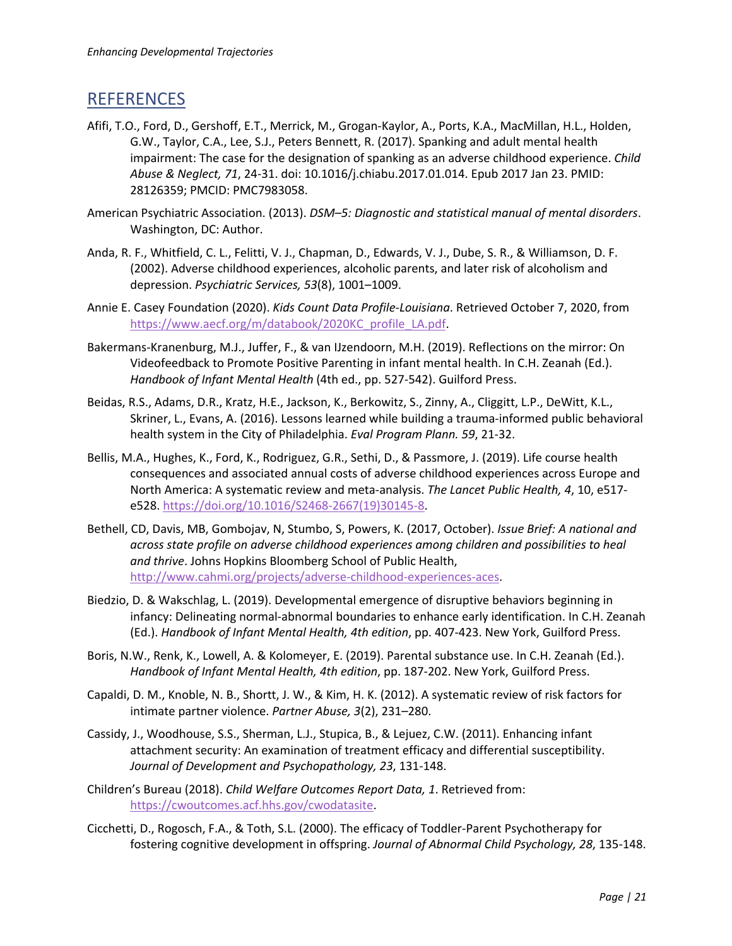# **REFERENCES**

- Afifi, T.O., Ford, D., Gershoff, E.T., Merrick, M., Grogan-Kaylor, A., Ports, K.A., MacMillan, H.L., Holden, G.W., Taylor, C.A., Lee, S.J., Peters Bennett, R. (2017). Spanking and adult mental health impairment: The case for the designation of spanking as an adverse childhood experience. *Child Abuse & Neglect, 71*, 24-31. doi: 10.1016/j.chiabu.2017.01.014. Epub 2017 Jan 23. PMID: 28126359; PMCID: PMC7983058.
- American Psychiatric Association. (2013). *DSM–5: Diagnostic and statistical manual of mental disorders*. Washington, DC: Author.
- Anda, R. F., Whitfield, C. L., Felitti, V. J., Chapman, D., Edwards, V. J., Dube, S. R., & Williamson, D. F. (2002). Adverse childhood experiences, alcoholic parents, and later risk of alcoholism and depression. *Psychiatric Services, 53*(8), 1001–1009.
- Annie E. Casey Foundation (2020). *Kids Count Data Profile-Louisiana*. Retrieved October 7, 2020, from https://www.aecf.org/m/databook/2020KC profile LA.pdf.
- Bakermans-Kranenburg, M.J., Juffer, F., & van IJzendoorn, M.H. (2019). Reflections on the mirror: On Videofeedback to Promote Positive Parenting in infant mental health. In C.H. Zeanah (Ed.). *Handbook of Infant Mental Health* (4th ed., pp. 527-542). Guilford Press.
- Beidas, R.S., Adams, D.R., Kratz, H.E., Jackson, K., Berkowitz, S., Zinny, A., Cliggitt, L.P., DeWitt, K.L., Skriner, L., Evans, A. (2016). Lessons learned while building a trauma-informed public behavioral health system in the City of Philadelphia. *Eval Program Plann. 59*, 21-32.
- Bellis, M.A., Hughes, K., Ford, K., Rodriguez, G.R., Sethi, D., & Passmore, J. (2019). Life course health consequences and associated annual costs of adverse childhood experiences across Europe and North America: A systematic review and meta-analysis. *The Lancet Public Health, 4*, 10, e517 e528. https://doi.org/10.1016/S2468-2667(19)30145-8.
- Bethell, CD, Davis, MB, Gombojav, N, Stumbo, S, Powers, K. (2017, October). *Issue Brief: A national and across state profile on adverse childhood experiences among children and possibilities to heal and thrive*. Johns Hopkins Bloomberg School of Public Health, http://www.cahmi.org/projects/adverse-childhood-experiences-aces.
- Biedzio, D. & Wakschlag, L. (2019). Developmental emergence of disruptive behaviors beginning in infancy: Delineating normal-abnormal boundaries to enhance early identification. In C.H. Zeanah (Ed.). *Handbook of Infant Mental Health, 4th edition*, pp. 407-423. New York, Guilford Press.
- Boris, N.W., Renk, K., Lowell, A. & Kolomeyer, E. (2019). Parental substance use. In C.H. Zeanah (Ed.). *Handbook of Infant Mental Health, 4th edition*, pp. 187-202. New York, Guilford Press.
- Capaldi, D. M., Knoble, N. B., Shortt, J. W., & Kim, H. K. (2012). A systematic review of risk factors for intimate partner violence. *Partner Abuse, 3*(2), 231–280.
- Cassidy, J., Woodhouse, S.S., Sherman, L.J., Stupica, B., & Lejuez, C.W. (2011). Enhancing infant attachment security: An examination of treatment efficacy and differential susceptibility. *Journal of Development and Psychopathology, 23*, 131-148.
- Children's Bureau (2018). *Child Welfare Outcomes Report Data, 1*. Retrieved from: https://cwoutcomes.acf.hhs.gov/cwodatasite.
- Cicchetti, D., Rogosch, F.A., & Toth, S.L. (2000). The efficacy of Toddler-Parent Psychotherapy for fostering cognitive development in offspring. *Journal of Abnormal Child Psychology, 28*, 135-148.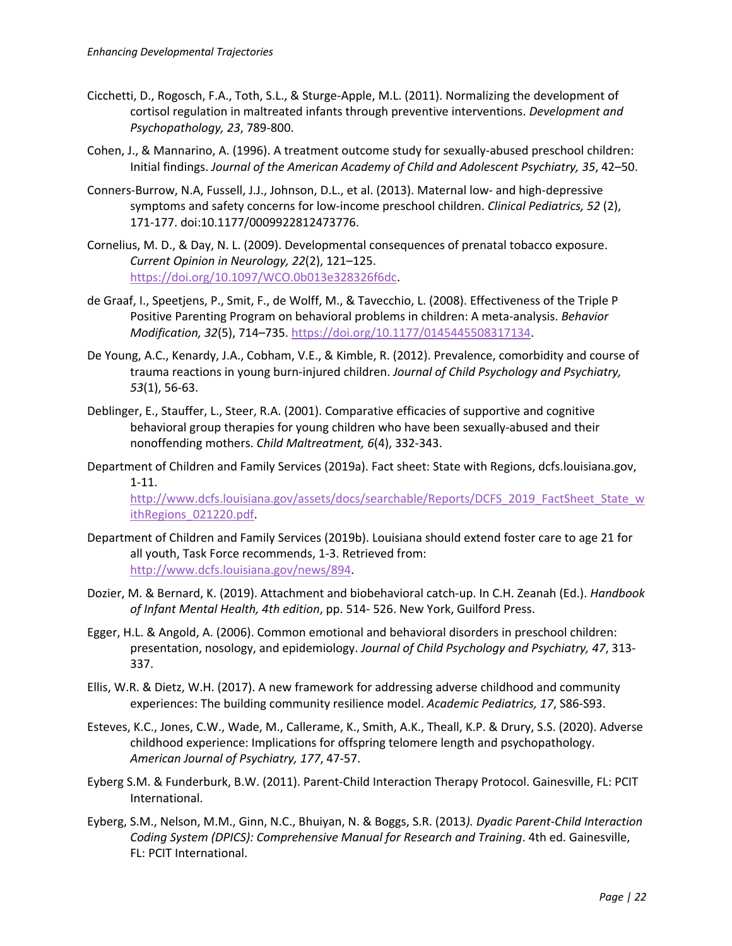- Cicchetti, D., Rogosch, F.A., Toth, S.L., & Sturge-Apple, M.L. (2011). Normalizing the development of cortisol regulation in maltreated infants through preventive interventions. *Development and Psychopathology, 23*, 789-800.
- Cohen, J., & Mannarino, A. (1996). A treatment outcome study for sexually-abused preschool children: Initial findings. *Journal of the American Academy of Child and Adolescent Psychiatry, 35*, 42–50.
- Conners-Burrow, N.A, Fussell, J.J., Johnson, D.L., et al. (2013). Maternal low- and high-depressive symptoms and safety concerns for low-income preschool children. *Clinical Pediatrics, 52* (2), 171-177. doi:10.1177/0009922812473776.
- Cornelius, M. D., & Day, N. L. (2009). Developmental consequences of prenatal tobacco exposure. *Current Opinion in Neurology, 22*(2), 121–125. https://doi.org/10.1097/WCO.0b013e328326f6dc.
- de Graaf, I., Speetjens, P., Smit, F., de Wolff, M., & Tavecchio, L. (2008). Effectiveness of the Triple P Positive Parenting Program on behavioral problems in children: A meta-analysis. *Behavior Modification, 32*(5), 714–735. https://doi.org/10.1177/0145445508317134.
- De Young, A.C., Kenardy, J.A., Cobham, V.E., & Kimble, R. (2012). Prevalence, comorbidity and course of trauma reactions in young burn-injured children. *Journal of Child Psychology and Psychiatry, 53*(1), 56-63.
- Deblinger, E., Stauffer, L., Steer, R.A. (2001). Comparative efficacies of supportive and cognitive behavioral group therapies for young children who have been sexually-abused and their nonoffending mothers. *Child Maltreatment, 6*(4), 332-343.
- Department of Children and Family Services (2019a). Fact sheet: State with Regions, dcfs.louisiana.gov, 1-11.

http://www.dcfs.louisiana.gov/assets/docs/searchable/Reports/DCFS\_2019\_FactSheet\_State\_w ithRegions\_021220.pdf.

- Department of Children and Family Services (2019b). Louisiana should extend foster care to age 21 for all youth, Task Force recommends, 1-3. Retrieved from: http://www.dcfs.louisiana.gov/news/894.
- Dozier, M. & Bernard, K. (2019). Attachment and biobehavioral catch-up. In C.H. Zeanah (Ed.). *Handbook of Infant Mental Health, 4th edition*, pp. 514- 526. New York, Guilford Press.
- Egger, H.L. & Angold, A. (2006). Common emotional and behavioral disorders in preschool children: presentation, nosology, and epidemiology. *Journal of Child Psychology and Psychiatry, 47*, 313- 337.
- Ellis, W.R. & Dietz, W.H. (2017). A new framework for addressing adverse childhood and community experiences: The building community resilience model. *Academic Pediatrics, 17*, S86-S93.
- Esteves, K.C., Jones, C.W., Wade, M., Callerame, K., Smith, A.K., Theall, K.P. & Drury, S.S. (2020). Adverse childhood experience: Implications for offspring telomere length and psychopathology. *American Journal of Psychiatry, 177*, 47-57.
- Eyberg S.M. & Funderburk, B.W. (2011). Parent-Child Interaction Therapy Protocol. Gainesville, FL: PCIT International.
- Eyberg, S.M., Nelson, M.M., Ginn, N.C., Bhuiyan, N. & Boggs, S.R. (2013*). Dyadic Parent-Child Interaction Coding System (DPICS): Comprehensive Manual for Research and Training*. 4th ed. Gainesville, FL: PCIT International.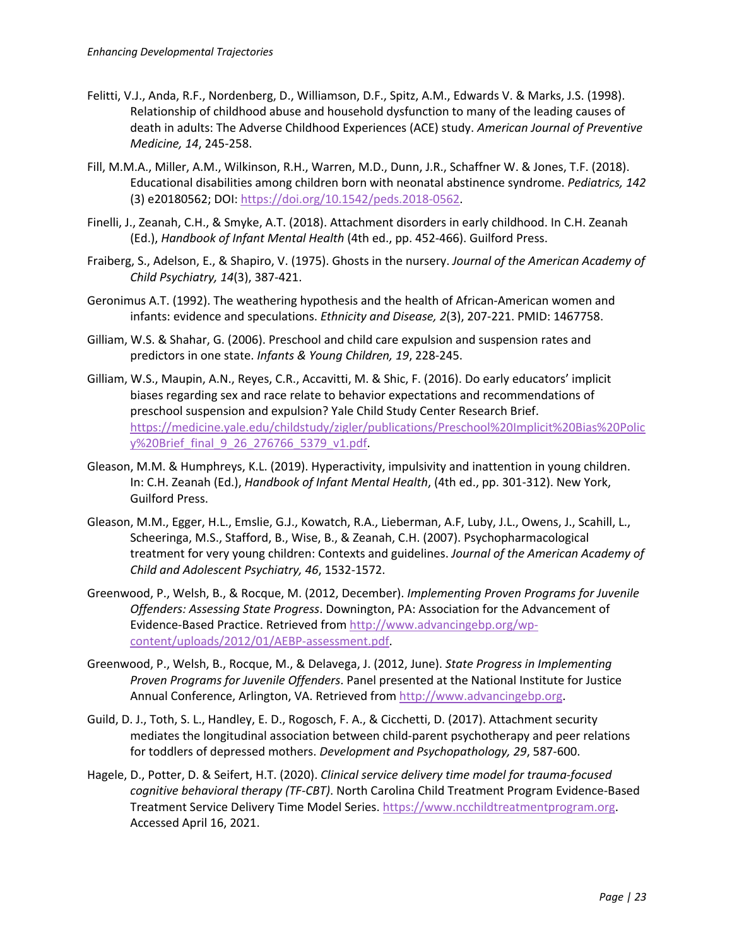- Felitti, V.J., Anda, R.F., Nordenberg, D., Williamson, D.F., Spitz, A.M., Edwards V. & Marks, J.S. (1998). Relationship of childhood abuse and household dysfunction to many of the leading causes of death in adults: The Adverse Childhood Experiences (ACE) study. *American Journal of Preventive Medicine, 14*, 245-258.
- Fill, M.M.A., Miller, A.M., Wilkinson, R.H., Warren, M.D., Dunn, J.R., Schaffner W. & Jones, T.F. (2018). Educational disabilities among children born with neonatal abstinence syndrome. *Pediatrics, 142* (3) e20180562; DOI: https://doi.org/10.1542/peds.2018-0562.
- Finelli, J., Zeanah, C.H., & Smyke, A.T. (2018). Attachment disorders in early childhood. In C.H. Zeanah (Ed.), *Handbook of Infant Mental Health* (4th ed., pp. 452-466). Guilford Press.
- Fraiberg, S., Adelson, E., & Shapiro, V. (1975). Ghosts in the nursery. *Journal of the American Academy of Child Psychiatry, 14*(3), 387-421.
- Geronimus A.T. (1992). The weathering hypothesis and the health of African-American women and infants: evidence and speculations. *Ethnicity and Disease, 2*(3), 207-221. PMID: 1467758.
- Gilliam, W.S. & Shahar, G. (2006). Preschool and child care expulsion and suspension rates and predictors in one state. *Infants & Young Children, 19*, 228-245.
- Gilliam, W.S., Maupin, A.N., Reyes, C.R., Accavitti, M. & Shic, F. (2016). Do early educators' implicit biases regarding sex and race relate to behavior expectations and recommendations of preschool suspension and expulsion? Yale Child Study Center Research Brief. https://medicine.yale.edu/childstudy/zigler/publications/Preschool%20Implicit%20Bias%20Polic y%20Brief\_final\_9\_26\_276766\_5379\_v1.pdf.
- Gleason, M.M. & Humphreys, K.L. (2019). Hyperactivity, impulsivity and inattention in young children. In: C.H. Zeanah (Ed.), *Handbook of Infant Mental Health*, (4th ed., pp. 301-312). New York, Guilford Press.
- Gleason, M.M., Egger, H.L., Emslie, G.J., Kowatch, R.A., Lieberman, A.F, Luby, J.L., Owens, J., Scahill, L., Scheeringa, M.S., Stafford, B., Wise, B., & Zeanah, C.H. (2007). Psychopharmacological treatment for very young children: Contexts and guidelines. *Journal of the American Academy of Child and Adolescent Psychiatry, 46*, 1532-1572.
- Greenwood, P., Welsh, B., & Rocque, M. (2012, December). *Implementing Proven Programs for Juvenile Offenders: Assessing State Progress*. Downington, PA: Association for the Advancement of Evidence-Based Practice. Retrieved from http://www.advancingebp.org/wpcontent/uploads/2012/01/AEBP-assessment.pdf.
- Greenwood, P., Welsh, B., Rocque, M., & Delavega, J. (2012, June). *State Progress in Implementing Proven Programs for Juvenile Offenders*. Panel presented at the National Institute for Justice Annual Conference, Arlington, VA. Retrieved from http://www.advancingebp.org.
- Guild, D. J., Toth, S. L., Handley, E. D., Rogosch, F. A., & Cicchetti, D. (2017). Attachment security mediates the longitudinal association between child-parent psychotherapy and peer relations for toddlers of depressed mothers. *Development and Psychopathology, 29*, 587-600.
- Hagele, D., Potter, D. & Seifert, H.T. (2020). *Clinical service delivery time model for trauma-focused cognitive behavioral therapy (TF-CBT)*. North Carolina Child Treatment Program Evidence-Based Treatment Service Delivery Time Model Series. https://www.ncchildtreatmentprogram.org. Accessed April 16, 2021.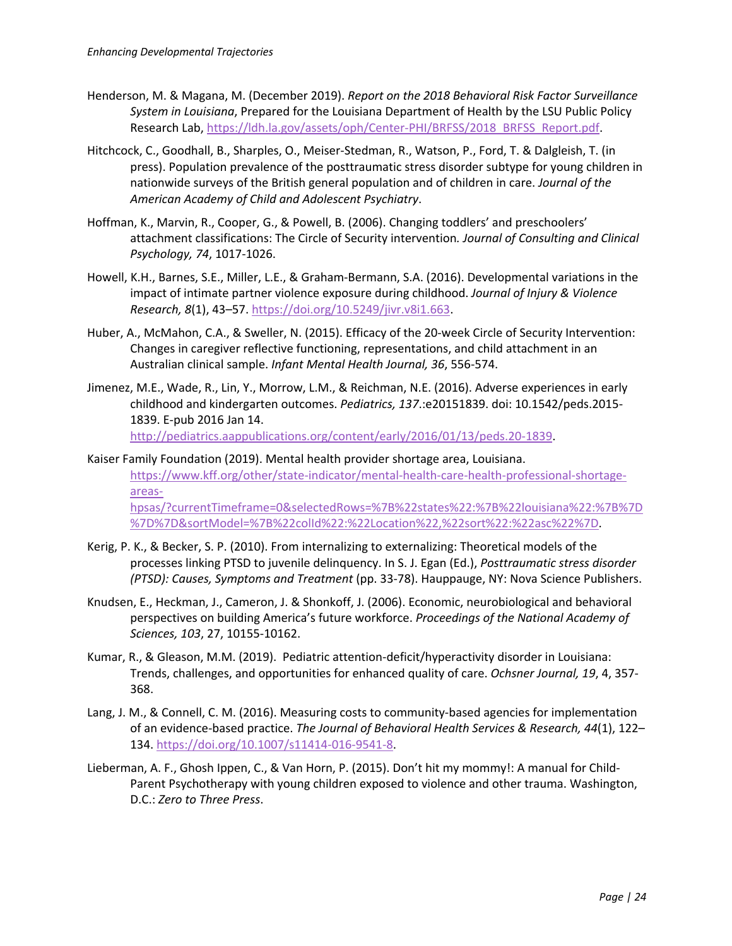- Henderson, M. & Magana, M. (December 2019). *Report on the 2018 Behavioral Risk Factor Surveillance System in Louisiana*, Prepared for the Louisiana Department of Health by the LSU Public Policy Research Lab, https://ldh.la.gov/assets/oph/Center-PHI/BRFSS/2018\_BRFSS\_Report.pdf.
- Hitchcock, C., Goodhall, B., Sharples, O., Meiser-Stedman, R., Watson, P., Ford, T. & Dalgleish, T. (in press). Population prevalence of the posttraumatic stress disorder subtype for young children in nationwide surveys of the British general population and of children in care. *Journal of the American Academy of Child and Adolescent Psychiatry*.
- Hoffman, K., Marvin, R., Cooper, G., & Powell, B. (2006). Changing toddlers' and preschoolers' attachment classifications: The Circle of Security intervention*. Journal of Consulting and Clinical Psychology, 74*, 1017-1026.
- Howell, K.H., Barnes, S.E., Miller, L.E., & Graham-Bermann, S.A. (2016). Developmental variations in the impact of intimate partner violence exposure during childhood. *Journal of Injury & Violence Research, 8*(1), 43–57. https://doi.org/10.5249/jivr.v8i1.663.
- Huber, A., McMahon, C.A., & Sweller, N. (2015). Efficacy of the 20-week Circle of Security Intervention: Changes in caregiver reflective functioning, representations, and child attachment in an Australian clinical sample. *Infant Mental Health Journal, 36*, 556-574.
- Jimenez, M.E., Wade, R., Lin, Y., Morrow, L.M., & Reichman, N.E. (2016). Adverse experiences in early childhood and kindergarten outcomes. *Pediatrics, 137*.:e20151839. doi: 10.1542/peds.2015- 1839. E-pub 2016 Jan 14. http://pediatrics.aappublications.org/content/early/2016/01/13/peds.20-1839.
- Kaiser Family Foundation (2019). Mental health provider shortage area, Louisiana. https://www.kff.org/other/state-indicator/mental-health-care-health-professional-shortageareashpsas/?currentTimeframe=0&selectedRows=%7B%22states%22:%7B%22louisiana%22:%7B%7D %7D%7D&sortModel=%7B%22colId%22:%22Location%22,%22sort%22:%22asc%22%7D.
- Kerig, P. K., & Becker, S. P. (2010). From internalizing to externalizing: Theoretical models of the processes linking PTSD to juvenile delinquency. In S. J. Egan (Ed.), *Posttraumatic stress disorder (PTSD): Causes, Symptoms and Treatment* (pp. 33-78). Hauppauge, NY: Nova Science Publishers.
- Knudsen, E., Heckman, J., Cameron, J. & Shonkoff, J. (2006). Economic, neurobiological and behavioral perspectives on building America's future workforce. *Proceedings of the National Academy of Sciences, 103*, 27, 10155-10162.
- Kumar, R., & Gleason, M.M. (2019). Pediatric attention-deficit/hyperactivity disorder in Louisiana: Trends, challenges, and opportunities for enhanced quality of care. *Ochsner Journal, 19*, 4, 357- 368.
- Lang, J. M., & Connell, C. M. (2016). Measuring costs to community-based agencies for implementation of an evidence-based practice. *The Journal of Behavioral Health Services & Research, 44*(1), 122– 134. https://doi.org/10.1007/s11414-016-9541-8.
- Lieberman, A. F., Ghosh Ippen, C., & Van Horn, P. (2015). Don't hit my mommy!: A manual for Child-Parent Psychotherapy with young children exposed to violence and other trauma. Washington, D.C.: *Zero to Three Press*.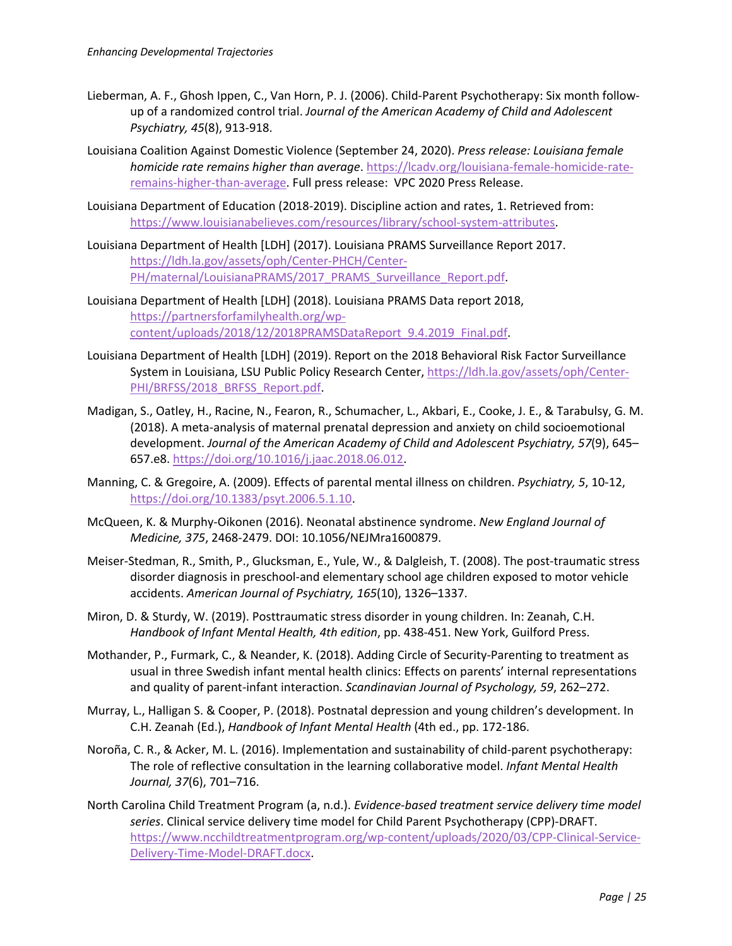- Lieberman, A. F., Ghosh Ippen, C., Van Horn, P. J. (2006). Child-Parent Psychotherapy: Six month followup of a randomized control trial. *Journal of the American Academy of Child and Adolescent Psychiatry, 45*(8), 913-918.
- Louisiana Coalition Against Domestic Violence (September 24, 2020). *Press release: Louisiana female homicide rate remains higher than average*. https://lcadv.org/louisiana-female-homicide-rateremains-higher-than-average. Full press release: VPC 2020 Press Release.
- Louisiana Department of Education (2018-2019). Discipline action and rates, 1. Retrieved from: https://www.louisianabelieves.com/resources/library/school-system-attributes.
- Louisiana Department of Health [LDH] (2017). Louisiana PRAMS Surveillance Report 2017. https://ldh.la.gov/assets/oph/Center-PHCH/Center-PH/maternal/LouisianaPRAMS/2017\_PRAMS\_Surveillance\_Report.pdf.
- Louisiana Department of Health [LDH] (2018). Louisiana PRAMS Data report 2018, https://partnersforfamilyhealth.org/wpcontent/uploads/2018/12/2018PRAMSDataReport\_9.4.2019\_Final.pdf.
- Louisiana Department of Health [LDH] (2019). Report on the 2018 Behavioral Risk Factor Surveillance System in Louisiana, LSU Public Policy Research Center, https://ldh.la.gov/assets/oph/Center-PHI/BRFSS/2018\_BRFSS\_Report.pdf.
- Madigan, S., Oatley, H., Racine, N., Fearon, R., Schumacher, L., Akbari, E., Cooke, J. E., & Tarabulsy, G. M. (2018). A meta-analysis of maternal prenatal depression and anxiety on child socioemotional development. *Journal of the American Academy of Child and Adolescent Psychiatry, 57*(9), 645– 657.e8. https://doi.org/10.1016/j.jaac.2018.06.012.
- Manning, C. & Gregoire, A. (2009). Effects of parental mental illness on children. *Psychiatry, 5*, 10-12, https://doi.org/10.1383/psyt.2006.5.1.10.
- McQueen, K. & Murphy-Oikonen (2016). Neonatal abstinence syndrome. *New England Journal of Medicine, 375*, 2468-2479. DOI: 10.1056/NEJMra1600879.
- Meiser-Stedman, R., Smith, P., Glucksman, E., Yule, W., & Dalgleish, T. (2008). The post-traumatic stress disorder diagnosis in preschool-and elementary school age children exposed to motor vehicle accidents. *American Journal of Psychiatry, 165*(10), 1326–1337.
- Miron, D. & Sturdy, W. (2019). Posttraumatic stress disorder in young children. In: Zeanah, C.H. *Handbook of Infant Mental Health, 4th edition*, pp. 438-451. New York, Guilford Press.
- Mothander, P., Furmark, C., & Neander, K. (2018). Adding Circle of Security-Parenting to treatment as usual in three Swedish infant mental health clinics: Effects on parents' internal representations and quality of parent-infant interaction. *Scandinavian Journal of Psychology, 59*, 262–272.
- Murray, L., Halligan S. & Cooper, P. (2018). Postnatal depression and young children's development. In C.H. Zeanah (Ed.), *Handbook of Infant Mental Health* (4th ed., pp. 172-186.
- Noroña, C. R., & Acker, M. L. (2016). Implementation and sustainability of child-parent psychotherapy: The role of reflective consultation in the learning collaborative model. *Infant Mental Health Journal, 37*(6), 701–716.
- North Carolina Child Treatment Program (a, n.d.). *Evidence-based treatment service delivery time model series*. Clinical service delivery time model for Child Parent Psychotherapy (CPP)-DRAFT. https://www.ncchildtreatmentprogram.org/wp-content/uploads/2020/03/CPP-Clinical-Service-Delivery-Time-Model-DRAFT.docx.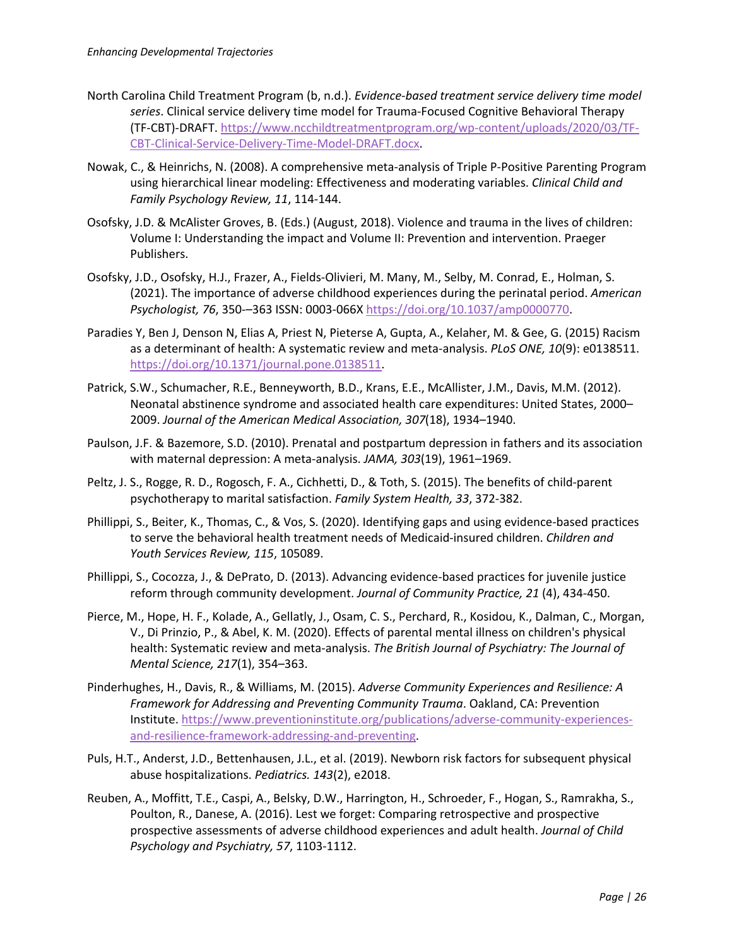- North Carolina Child Treatment Program (b, n.d.). *Evidence-based treatment service delivery time model series*. Clinical service delivery time model for Trauma-Focused Cognitive Behavioral Therapy (TF-CBT)-DRAFT. https://www.ncchildtreatmentprogram.org/wp-content/uploads/2020/03/TF-CBT-Clinical-Service-Delivery-Time-Model-DRAFT.docx.
- Nowak, C., & Heinrichs, N. (2008). A comprehensive meta-analysis of Triple P-Positive Parenting Program using hierarchical linear modeling: Effectiveness and moderating variables. *Clinical Child and Family Psychology Review, 11*, 114-144.
- Osofsky, J.D. & McAlister Groves, B. (Eds.) (August, 2018). Violence and trauma in the lives of children: Volume I: Understanding the impact and Volume II: Prevention and intervention. Praeger Publishers.
- Osofsky, J.D., Osofsky, H.J., Frazer, A., Fields-Olivieri, M. Many, M., Selby, M. Conrad, E., Holman, S. (2021). The importance of adverse childhood experiences during the perinatal period. *American Psychologist, 76*, 350-–363 ISSN: 0003-066X https://doi.org/10.1037/amp0000770.
- Paradies Y, Ben J, Denson N, Elias A, Priest N, Pieterse A, Gupta, A., Kelaher, M. & Gee, G. (2015) Racism as a determinant of health: A systematic review and meta-analysis. *PLoS ONE, 10*(9): e0138511. https://doi.org/10.1371/journal.pone.0138511.
- Patrick, S.W., Schumacher, R.E., Benneyworth, B.D., Krans, E.E., McAllister, J.M., Davis, M.M. (2012). Neonatal abstinence syndrome and associated health care expenditures: United States, 2000– 2009. *Journal of the American Medical Association, 307*(18), 1934–1940.
- Paulson, J.F. & Bazemore, S.D. (2010). Prenatal and postpartum depression in fathers and its association with maternal depression: A meta-analysis. *JAMA, 303*(19), 1961–1969.
- Peltz, J. S., Rogge, R. D., Rogosch, F. A., Cichhetti, D., & Toth, S. (2015). The benefits of child-parent psychotherapy to marital satisfaction. *Family System Health, 33*, 372-382.
- Phillippi, S., Beiter, K., Thomas, C., & Vos, S. (2020). Identifying gaps and using evidence-based practices to serve the behavioral health treatment needs of Medicaid-insured children. *Children and Youth Services Review, 115*, 105089.
- Phillippi, S., Cocozza, J., & DePrato, D. (2013). Advancing evidence-based practices for juvenile justice reform through community development. *Journal of Community Practice, 21* (4), 434-450.
- Pierce, M., Hope, H. F., Kolade, A., Gellatly, J., Osam, C. S., Perchard, R., Kosidou, K., Dalman, C., Morgan, V., Di Prinzio, P., & Abel, K. M. (2020). Effects of parental mental illness on children's physical health: Systematic review and meta-analysis. *The British Journal of Psychiatry: The Journal of Mental Science, 217*(1), 354–363.
- Pinderhughes, H., Davis, R., & Williams, M. (2015). *Adverse Community Experiences and Resilience: A Framework for Addressing and Preventing Community Trauma*. Oakland, CA: Prevention Institute. https://www.preventioninstitute.org/publications/adverse-community-experiencesand-resilience-framework-addressing-and-preventing.
- Puls, H.T., Anderst, J.D., Bettenhausen, J.L., et al. (2019). Newborn risk factors for subsequent physical abuse hospitalizations. *Pediatrics. 143*(2), e2018.
- Reuben, A., Moffitt, T.E., Caspi, A., Belsky, D.W., Harrington, H., Schroeder, F., Hogan, S., Ramrakha, S., Poulton, R., Danese, A. (2016). Lest we forget: Comparing retrospective and prospective prospective assessments of adverse childhood experiences and adult health. *Journal of Child Psychology and Psychiatry, 57*, 1103-1112.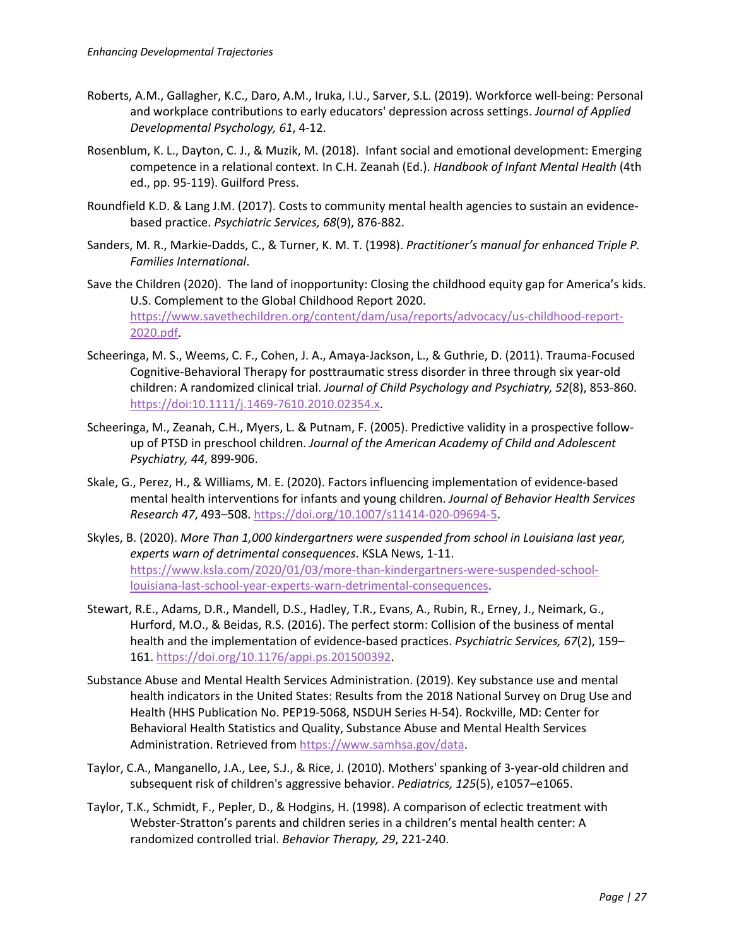- Roberts, A.M., Gallagher, K.C., Daro, A.M., Iruka, I.U., Sarver, S.L. (2019). Workforce well-being: Personal and workplace contributions to early educators' depression across settings. *Journal of Applied Developmental Psychology, 61*, 4-12.
- Rosenblum, K. L., Dayton, C. J., & Muzik, M. (2018). Infant social and emotional development: Emerging competence in a relational context. In C.H. Zeanah (Ed.). *Handbook of Infant Mental Health* (4th ed., pp. 95-119). Guilford Press.
- Roundfield K.D. & Lang J.M. (2017). Costs to community mental health agencies to sustain an evidencebased practice. *Psychiatric Services, 68*(9), 876-882.
- Sanders, M. R., Markie-Dadds, C., & Turner, K. M. T. (1998). *Practitioner's manual for enhanced Triple P. Families International*.
- Save the Children (2020). The land of inopportunity: Closing the childhood equity gap for America's kids. U.S. Complement to the Global Childhood Report 2020. https://www.savethechildren.org/content/dam/usa/reports/advocacy/us-childhood-report-2020.pdf.
- Scheeringa, M. S., Weems, C. F., Cohen, J. A., Amaya-Jackson, L., & Guthrie, D. (2011). Trauma-Focused Cognitive-Behavioral Therapy for posttraumatic stress disorder in three through six year-old children: A randomized clinical trial. *Journal of Child Psychology and Psychiatry, 52*(8), 853-860. https://doi:10.1111/j.1469-7610.2010.02354.x.
- Scheeringa, M., Zeanah, C.H., Myers, L. & Putnam, F. (2005). Predictive validity in a prospective followup of PTSD in preschool children. *Journal of the American Academy of Child and Adolescent Psychiatry, 44*, 899-906.
- Skale, G., Perez, H., & Williams, M. E. (2020). Factors influencing implementation of evidence-based mental health interventions for infants and young children. *Journal of Behavior Health Services Research 47*, 493–508. https://doi.org/10.1007/s11414-020-09694-5.
- Skyles, B. (2020). *More Than 1,000 kindergartners were suspended from school in Louisiana last year, experts warn of detrimental consequences*. KSLA News, 1-11. https://www.ksla.com/2020/01/03/more-than-kindergartners-were-suspended-schoollouisiana-last-school-year-experts-warn-detrimental-consequences.
- Stewart, R.E., Adams, D.R., Mandell, D.S., Hadley, T.R., Evans, A., Rubin, R., Erney, J., Neimark, G., Hurford, M.O., & Beidas, R.S. (2016). The perfect storm: Collision of the business of mental health and the implementation of evidence-based practices. *Psychiatric Services, 67*(2), 159– 161. https://doi.org/10.1176/appi.ps.201500392.
- Substance Abuse and Mental Health Services Administration. (2019). Key substance use and mental health indicators in the United States: Results from the 2018 National Survey on Drug Use and Health (HHS Publication No. PEP19-5068, NSDUH Series H-54). Rockville, MD: Center for Behavioral Health Statistics and Quality, Substance Abuse and Mental Health Services Administration. Retrieved from https://www.samhsa.gov/data.
- Taylor, C.A., Manganello, J.A., Lee, S.J., & Rice, J. (2010). Mothers' spanking of 3-year-old children and subsequent risk of children's aggressive behavior. *Pediatrics, 125*(5), e1057–e1065.
- Taylor, T.K., Schmidt, F., Pepler, D., & Hodgins, H. (1998). A comparison of eclectic treatment with Webster-Stratton's parents and children series in a children's mental health center: A randomized controlled trial. *Behavior Therapy, 29*, 221-240.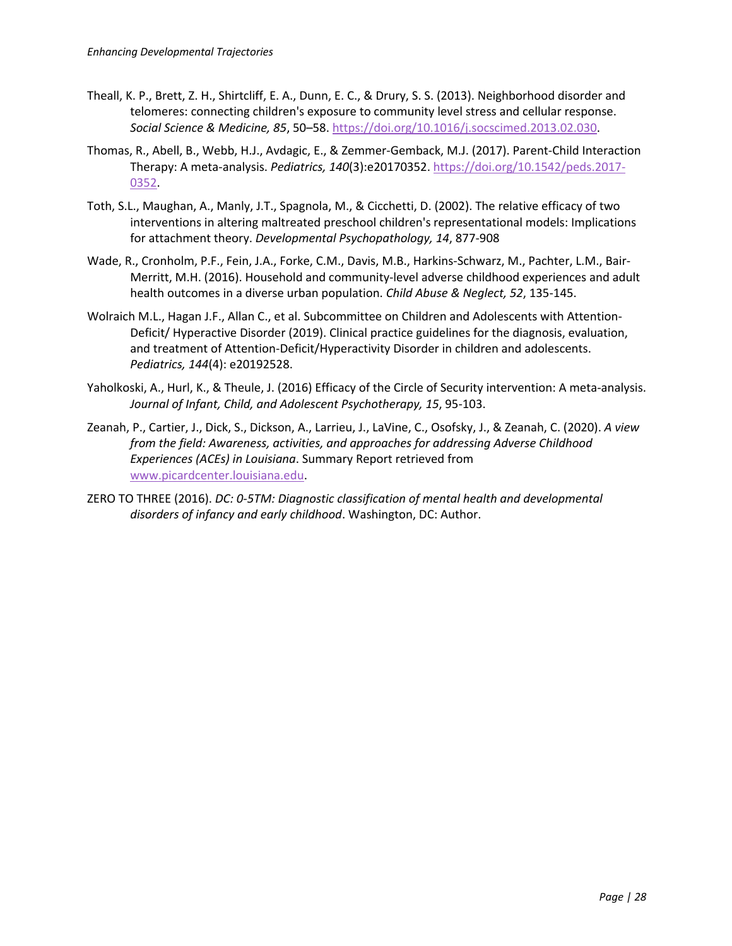- Theall, K. P., Brett, Z. H., Shirtcliff, E. A., Dunn, E. C., & Drury, S. S. (2013). Neighborhood disorder and telomeres: connecting children's exposure to community level stress and cellular response. *Social Science & Medicine, 85*, 50–58. https://doi.org/10.1016/j.socscimed.2013.02.030.
- Thomas, R., Abell, B., Webb, H.J., Avdagic, E., & Zemmer-Gemback, M.J. (2017). Parent-Child Interaction Therapy: A meta-analysis. *Pediatrics, 140*(3):e20170352. https://doi.org/10.1542/peds.2017- 0352.
- Toth, S.L., Maughan, A., Manly, J.T., Spagnola, M., & Cicchetti, D. (2002). The relative efficacy of two interventions in altering maltreated preschool children's representational models: Implications for attachment theory. *Developmental Psychopathology, 14*, 877-908
- Wade, R., Cronholm, P.F., Fein, J.A., Forke, C.M., Davis, M.B., Harkins-Schwarz, M., Pachter, L.M., Bair-Merritt, M.H. (2016). Household and community-level adverse childhood experiences and adult health outcomes in a diverse urban population. *Child Abuse & Neglect, 52*, 135-145.
- Wolraich M.L., Hagan J.F., Allan C., et al. Subcommittee on Children and Adolescents with Attention-Deficit/ Hyperactive Disorder (2019). Clinical practice guidelines for the diagnosis, evaluation, and treatment of Attention-Deficit/Hyperactivity Disorder in children and adolescents. *Pediatrics, 144*(4): e20192528.
- Yaholkoski, A., Hurl, K., & Theule, J. (2016) Efficacy of the Circle of Security intervention: A meta-analysis. *Journal of Infant, Child, and Adolescent Psychotherapy, 15*, 95-103.
- Zeanah, P., Cartier, J., Dick, S., Dickson, A., Larrieu, J., LaVine, C., Osofsky, J., & Zeanah, C. (2020). *A view from the field: Awareness, activities, and approaches for addressing Adverse Childhood Experiences (ACEs) in Louisiana*. Summary Report retrieved from www.picardcenter.louisiana.edu.
- ZERO TO THREE (2016). *DC: 0-5TM: Diagnostic classification of mental health and developmental disorders of infancy and early childhood*. Washington, DC: Author.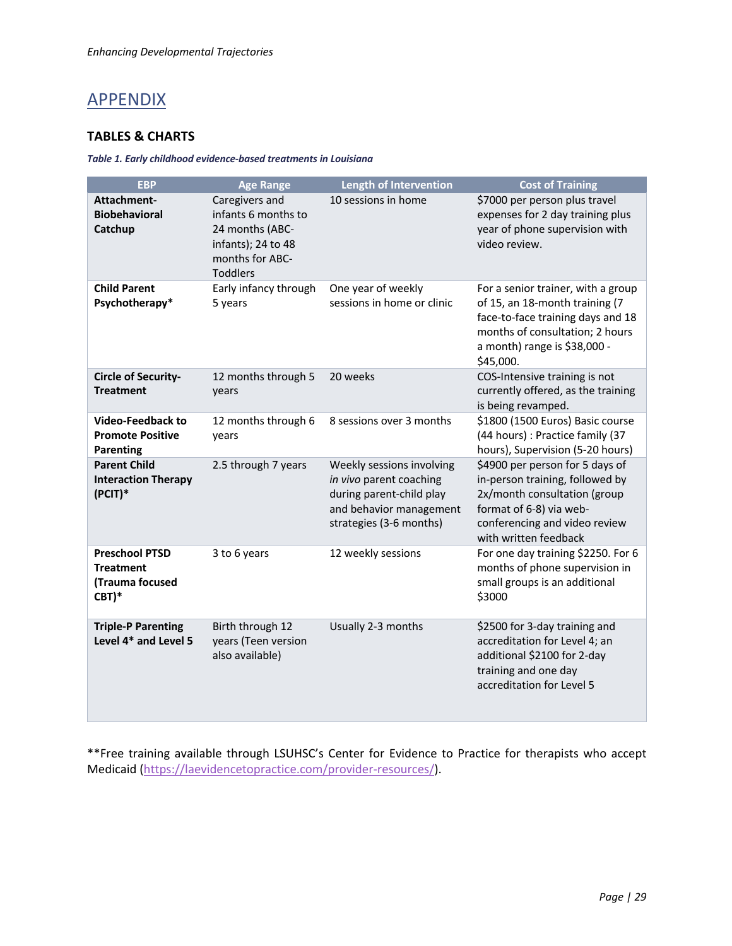# **APPENDIX**

#### **TABLES & CHARTS**

#### *Table 1. Early childhood evidence-based treatments in Louisiana*

| <b>EBP</b>                                                            | <b>Age Range</b>                                                                                                     | <b>Length of Intervention</b>                                                                                                          | <b>Cost of Training</b>                                                                                                                                                                   |
|-----------------------------------------------------------------------|----------------------------------------------------------------------------------------------------------------------|----------------------------------------------------------------------------------------------------------------------------------------|-------------------------------------------------------------------------------------------------------------------------------------------------------------------------------------------|
| Attachment-<br><b>Biobehavioral</b><br>Catchup                        | Caregivers and<br>infants 6 months to<br>24 months (ABC-<br>infants); 24 to 48<br>months for ABC-<br><b>Toddlers</b> | 10 sessions in home                                                                                                                    | \$7000 per person plus travel<br>expenses for 2 day training plus<br>year of phone supervision with<br>video review.                                                                      |
| <b>Child Parent</b><br>Psychotherapy*                                 | Early infancy through<br>5 years                                                                                     | One year of weekly<br>sessions in home or clinic                                                                                       | For a senior trainer, with a group<br>of 15, an 18-month training (7<br>face-to-face training days and 18<br>months of consultation; 2 hours<br>a month) range is \$38,000 -<br>\$45,000. |
| Circle of Security-<br><b>Treatment</b>                               | 12 months through 5<br>years                                                                                         | 20 weeks                                                                                                                               | COS-Intensive training is not<br>currently offered, as the training<br>is being revamped.                                                                                                 |
| <b>Video-Feedback to</b><br><b>Promote Positive</b><br>Parenting      | 12 months through 6<br>years                                                                                         | 8 sessions over 3 months                                                                                                               | \$1800 (1500 Euros) Basic course<br>(44 hours): Practice family (37<br>hours), Supervision (5-20 hours)                                                                                   |
| <b>Parent Child</b><br><b>Interaction Therapy</b><br>(PCIT)*          | 2.5 through 7 years                                                                                                  | Weekly sessions involving<br>in vivo parent coaching<br>during parent-child play<br>and behavior management<br>strategies (3-6 months) | \$4900 per person for 5 days of<br>in-person training, followed by<br>2x/month consultation (group<br>format of 6-8) via web-<br>conferencing and video review<br>with written feedback   |
| <b>Preschool PTSD</b><br><b>Treatment</b><br>(Trauma focused<br>CBT)* | 3 to 6 years                                                                                                         | 12 weekly sessions                                                                                                                     | For one day training \$2250. For 6<br>months of phone supervision in<br>small groups is an additional<br>\$3000                                                                           |
| <b>Triple-P Parenting</b><br>Level 4* and Level 5                     | Birth through 12<br>years (Teen version<br>also available)                                                           | Usually 2-3 months                                                                                                                     | \$2500 for 3-day training and<br>accreditation for Level 4; an<br>additional \$2100 for 2-day<br>training and one day<br>accreditation for Level 5                                        |

\*\*Free training available through LSUHSC's Center for Evidence to Practice for therapists who accept Medicaid (https://laevidencetopractice.com/provider-resources/).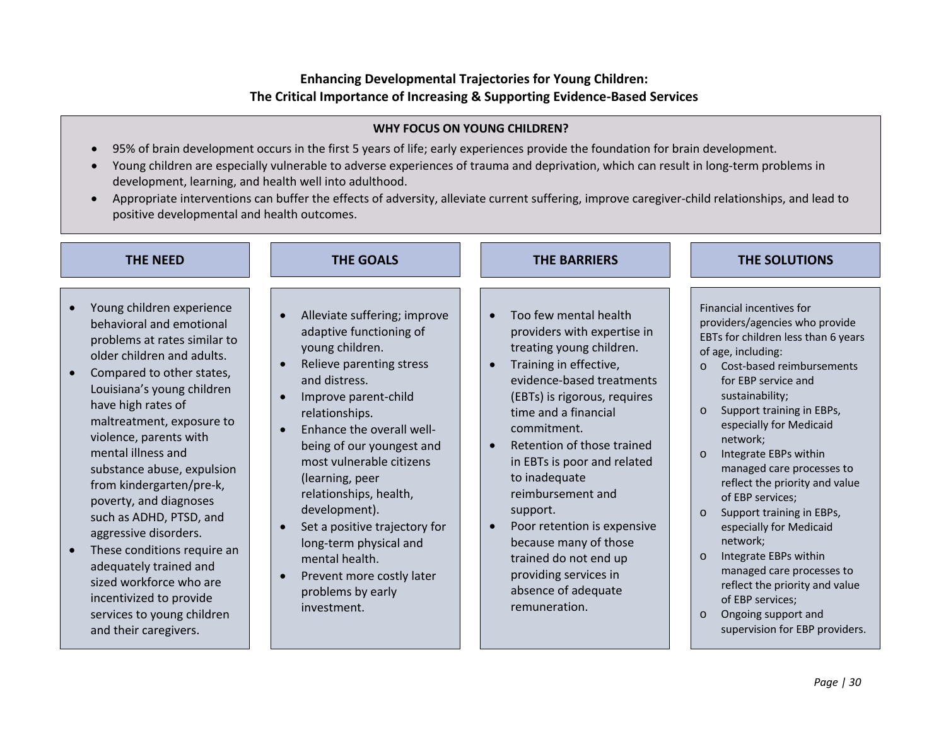## **Enhancing Developmental Trajectories for Young Children: The Critical Importance of Increasing & Supporting Evidence-Based Services**

#### **WHY FOCUS ON YOUNG CHILDREN?**

- 95% of brain development occurs in the first 5 years of life; early experiences provide the foundation for brain development.
- Young children are especially vulnerable to adverse experiences of trauma and deprivation, which can result in long-term problems in development, learning, and health well into adulthood.
- Appropriate interventions can buffer the effects of adversity, alleviate current suffering, improve caregiver-child relationships, and lead to positive developmental and health outcomes.

| <b>THE NEED</b>                                                                                                                                                                                                                                                                                                                                                                                                                                                                                                                                                                                 | <b>THE GOALS</b>                                                                                                                                                                                                                                                                                                                                                                                                                                                                 | <b>THE BARRIERS</b>                                                                                                                                                                                                                                                                                                                                                                                                                                                                                                                 | <b>THE SOLUTIONS</b>                                                                                                                                                                                                                                                                                                                                                                                                                                                                                                                                                                                                                                                                         |
|-------------------------------------------------------------------------------------------------------------------------------------------------------------------------------------------------------------------------------------------------------------------------------------------------------------------------------------------------------------------------------------------------------------------------------------------------------------------------------------------------------------------------------------------------------------------------------------------------|----------------------------------------------------------------------------------------------------------------------------------------------------------------------------------------------------------------------------------------------------------------------------------------------------------------------------------------------------------------------------------------------------------------------------------------------------------------------------------|-------------------------------------------------------------------------------------------------------------------------------------------------------------------------------------------------------------------------------------------------------------------------------------------------------------------------------------------------------------------------------------------------------------------------------------------------------------------------------------------------------------------------------------|----------------------------------------------------------------------------------------------------------------------------------------------------------------------------------------------------------------------------------------------------------------------------------------------------------------------------------------------------------------------------------------------------------------------------------------------------------------------------------------------------------------------------------------------------------------------------------------------------------------------------------------------------------------------------------------------|
| Young children experience<br>behavioral and emotional<br>problems at rates similar to<br>older children and adults.<br>Compared to other states,<br>Louisiana's young children<br>have high rates of<br>maltreatment, exposure to<br>violence, parents with<br>mental illness and<br>substance abuse, expulsion<br>from kindergarten/pre-k,<br>poverty, and diagnoses<br>such as ADHD, PTSD, and<br>aggressive disorders.<br>These conditions require an<br>adequately trained and<br>sized workforce who are<br>incentivized to provide<br>services to young children<br>and their caregivers. | Alleviate suffering; improve<br>adaptive functioning of<br>young children.<br>Relieve parenting stress<br>and distress.<br>Improve parent-child<br>relationships.<br>Enhance the overall well-<br>$\bullet$<br>being of our youngest and<br>most vulnerable citizens<br>(learning, peer<br>relationships, health,<br>development).<br>Set a positive trajectory for<br>long-term physical and<br>mental health.<br>Prevent more costly later<br>problems by early<br>investment. | Too few mental health<br>$\bullet$<br>providers with expertise in<br>treating young children.<br>Training in effective,<br>$\bullet$<br>evidence-based treatments<br>(EBTs) is rigorous, requires<br>time and a financial<br>commitment.<br>Retention of those trained<br>$\bullet$<br>in EBTs is poor and related<br>to inadequate<br>reimbursement and<br>support.<br>Poor retention is expensive<br>$\bullet$<br>because many of those<br>trained do not end up<br>providing services in<br>absence of adequate<br>remuneration. | Financial incentives for<br>providers/agencies who provide<br>EBTs for children less than 6 years<br>of age, including:<br>Cost-based reimbursements<br>$\Omega$<br>for EBP service and<br>sustainability;<br>Support training in EBPs,<br>$\circ$<br>especially for Medicaid<br>network;<br>Integrate EBPs within<br>$\Omega$<br>managed care processes to<br>reflect the priority and value<br>of EBP services;<br>Support training in EBPs,<br>$\Omega$<br>especially for Medicaid<br>network;<br>Integrate EBPs within<br>$\circ$<br>managed care processes to<br>reflect the priority and value<br>of EBP services;<br>Ongoing support and<br>$\circ$<br>supervision for EBP providers. |